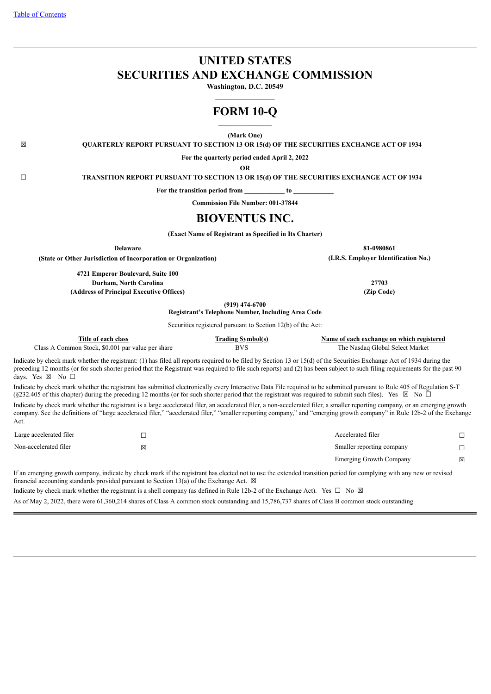# **UNITED STATES SECURITIES AND EXCHANGE COMMISSION**

**Washington, D.C. 20549**

# **FORM 10-Q**

**(Mark One)**

☒ **QUARTERLY REPORT PURSUANT TO SECTION 13 OR 15(d) OF THE SECURITIES EXCHANGE ACT OF 1934**

**For the quarterly period ended April 2, 2022**

**OR**

☐ **TRANSITION REPORT PURSUANT TO SECTION 13 OR 15(d) OF THE SECURITIES EXCHANGE ACT OF 1934**

For the transition period from \_\_\_\_\_\_\_\_\_\_\_\_\_\_ to

**Commission File Number: 001-37844**

# **BIOVENTUS INC.**

**(Exact Name of Registrant as Specified in Its Charter)**

**Delaware 81-0980861**

**(State or Other Jurisdiction of Incorporation or Organization) (I.R.S. Employer Identification No.)**

**4721 Emperor Boulevard, Suite 100 Durham, North Carolina 27703**

**(Address of Principal Executive Offices) (Zip Code)**

**(919) 474-6700**

**Registrant's Telephone Number, Including Area Code**

Securities registered pursuant to Section 12(b) of the Act:

| Title of each class                               | <b>Trading Symbol(s)</b> | Name of each exchange on which registered |
|---------------------------------------------------|--------------------------|-------------------------------------------|
| Class A Common Stock, \$0.001 par value per share |                          | The Nasdaq Global Select Market           |

Indicate by check mark whether the registrant: (1) has filed all reports required to be filed by Section 13 or 15(d) of the Securities Exchange Act of 1934 during the preceding 12 months (or for such shorter period that the Registrant was required to file such reports) and (2) has been subject to such filing requirements for the past 90 days. Yes  $\boxtimes$  No  $\square$ 

Indicate by check mark whether the registrant has submitted electronically every Interactive Data File required to be submitted pursuant to Rule 405 of Regulation S-T (§232.405 of this chapter) during the preceding 12 months (or for such shorter period that the registrant was required to submit such files). Yes  $\boxtimes$  No  $\Box$ 

Indicate by check mark whether the registrant is a large accelerated filer, an accelerated filer, a non-accelerated filer, a smaller reporting company, or an emerging growth company. See the definitions of "large accelerated filer," "accelerated filer," "smaller reporting company," and "emerging growth company" in Rule 12b-2 of the Exchange Act.

| Large accelerated filer | Accelerated filer         |   |
|-------------------------|---------------------------|---|
| Non-accelerated filer   | Smaller reporting company |   |
|                         | Emerging Growth Company   | 冈 |

If an emerging growth company, indicate by check mark if the registrant has elected not to use the extended transition period for complying with any new or revised financial accounting standards provided pursuant to Section 13(a) of the Exchange Act.  $\boxtimes$ 

Indicate by check mark whether the registrant is a shell company (as defined in Rule 12b-2 of the Exchange Act). Yes  $\Box$  No  $\boxtimes$ 

<span id="page-0-0"></span>As of May 2, 2022, there were 61,360,214 shares of Class A common stock outstanding and 15,786,737 shares of Class B common stock outstanding.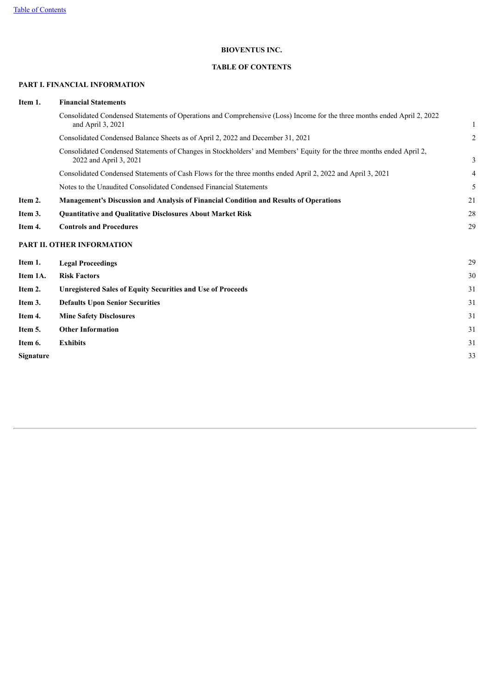# **BIOVENTUS INC.**

#### **TABLE OF CONTENTS**

# **PART I. FINANCIAL [INFORMATION](#page-3-0)**

| Item 1.          | <b>Financial Statements</b>                                                                                                                     |                |
|------------------|-------------------------------------------------------------------------------------------------------------------------------------------------|----------------|
|                  | Consolidated Condensed Statements of Operations and Comprehensive (Loss) Income for the three months ended April 2, 2022<br>and April 3, 2021   | 1              |
|                  | Consolidated Condensed Balance Sheets as of April 2, 2022 and December 31, 2021                                                                 | $\overline{2}$ |
|                  | Consolidated Condensed Statements of Changes in Stockholders' and Members' Equity for the three months ended April 2,<br>2022 and April 3, 2021 | 3              |
|                  | Consolidated Condensed Statements of Cash Flows for the three months ended April 2, 2022 and April 3, 2021                                      | 4              |
|                  | Notes to the Unaudited Consolidated Condensed Financial Statements                                                                              | 5              |
| Item 2.          | <b>Management's Discussion and Analysis of Financial Condition and Results of Operations</b>                                                    | 21             |
| Item 3.          | <b>Quantitative and Qualitative Disclosures About Market Risk</b>                                                                               | 28             |
| Item 4.          | <b>Controls and Procedures</b>                                                                                                                  | 29             |
|                  | PART II. OTHER INFORMATION                                                                                                                      |                |
| Item 1.          | <b>Legal Proceedings</b>                                                                                                                        | 29             |
| Item 1A.         | <b>Risk Factors</b>                                                                                                                             | 30             |
| Item 2.          | <b>Unregistered Sales of Equity Securities and Use of Proceeds</b>                                                                              | 31             |
| Item 3.          | <b>Defaults Upon Senior Securities</b>                                                                                                          | 31             |
| Item 4.          | <b>Mine Safety Disclosures</b>                                                                                                                  | 31             |
| Item 5.          | <b>Other Information</b>                                                                                                                        | 31             |
| Item 6.          | <b>Exhibits</b>                                                                                                                                 | 31             |
| <b>Signature</b> |                                                                                                                                                 | 33             |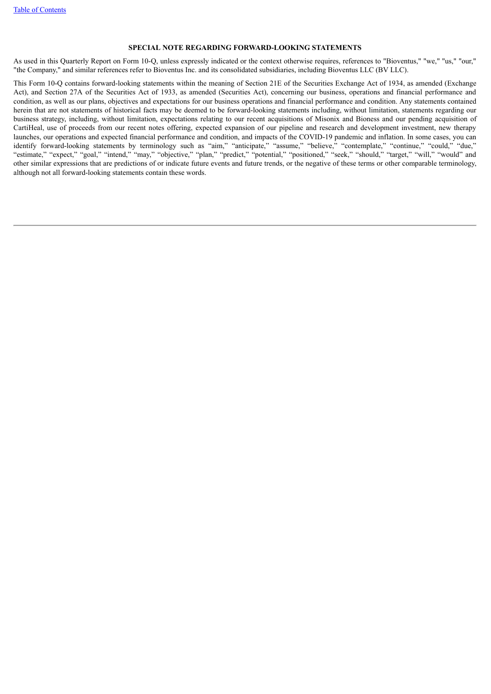## **SPECIAL NOTE REGARDING FORWARD-LOOKING STATEMENTS**

As used in this Quarterly Report on Form 10-Q, unless expressly indicated or the context otherwise requires, references to "Bioventus," "we," "us," "our," "the Company," and similar references refer to Bioventus Inc. and its consolidated subsidiaries, including Bioventus LLC (BV LLC).

This Form 10-Q contains forward-looking statements within the meaning of Section 21E of the Securities Exchange Act of 1934, as amended (Exchange Act), and Section 27A of the Securities Act of 1933, as amended (Securities Act), concerning our business, operations and financial performance and condition, as well as our plans, objectives and expectations for our business operations and financial performance and condition. Any statements contained herein that are not statements of historical facts may be deemed to be forward-looking statements including, without limitation, statements regarding our business strategy, including, without limitation, expectations relating to our recent acquisitions of Misonix and Bioness and our pending acquisition of CartiHeal, use of proceeds from our recent notes offering, expected expansion of our pipeline and research and development investment, new therapy launches, our operations and expected financial performance and condition, and impacts of the COVID-19 pandemic and inflation. In some cases, you can identify forward-looking statements by terminology such as "aim," "anticipate," "assume," "believe," "contemplate," "continue," "could," "due," "estimate," "expect," "goal," "intend," "may," "objective," "plan," "predict," "potential," "positioned," "seek," "should," "target," "will," "would" and other similar expressions that are predictions of or indicate future events and future trends, or the negative of these terms or other comparable terminology, although not all forward-looking statements contain these words.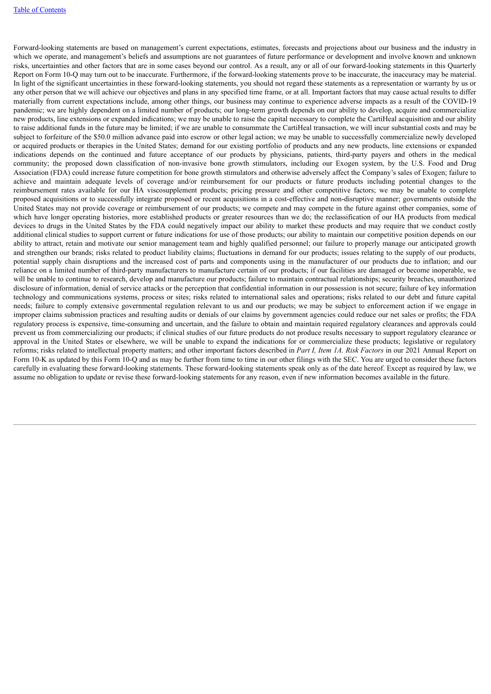<span id="page-3-0"></span>Forward-looking statements are based on management's current expectations, estimates, forecasts and projections about our business and the industry in which we operate, and management's beliefs and assumptions are not guarantees of future performance or development and involve known and unknown risks, uncertainties and other factors that are in some cases beyond our control. As a result, any or all of our forward-looking statements in this Quarterly Report on Form 10-Q may turn out to be inaccurate. Furthermore, if the forward-looking statements prove to be inaccurate, the inaccuracy may be material. In light of the significant uncertainties in these forward-looking statements, you should not regard these statements as a representation or warranty by us or any other person that we will achieve our objectives and plans in any specified time frame, or at all. Important factors that may cause actual results to differ materially from current expectations include, among other things, our business may continue to experience adverse impacts as a result of the COVID-19 pandemic; we are highly dependent on a limited number of products; our long-term growth depends on our ability to develop, acquire and commercialize new products, line extensions or expanded indications; we may be unable to raise the capital necessary to complete the CartiHeal acquisition and our ability to raise additional funds in the future may be limited; if we are unable to consummate the CartiHeal transaction, we will incur substantial costs and may be subject to forfeiture of the \$50.0 million advance paid into escrow or other legal action; we may be unable to successfully commercialize newly developed or acquired products or therapies in the United States; demand for our existing portfolio of products and any new products, line extensions or expanded indications depends on the continued and future acceptance of our products by physicians, patients, third-party payers and others in the medical community; the proposed down classification of non-invasive bone growth stimulators, including our Exogen system, by the U.S. Food and Drug Association (FDA) could increase future competition for bone growth stimulators and otherwise adversely affect the Company's sales of Exogen; failure to achieve and maintain adequate levels of coverage and/or reimbursement for our products or future products including potential changes to the reimbursement rates available for our HA viscosupplement products; pricing pressure and other competitive factors; we may be unable to complete proposed acquisitions or to successfully integrate proposed or recent acquisitions in a cost-effective and non-disruptive manner; governments outside the United States may not provide coverage or reimbursement of our products; we compete and may compete in the future against other companies, some of which have longer operating histories, more established products or greater resources than we do; the reclassification of our HA products from medical devices to drugs in the United States by the FDA could negatively impact our ability to market these products and may require that we conduct costly additional clinical studies to support current or future indications for use of those products; our ability to maintain our competitive position depends on our ability to attract, retain and motivate our senior management team and highly qualified personnel; our failure to properly manage our anticipated growth and strengthen our brands; risks related to product liability claims; fluctuations in demand for our products; issues relating to the supply of our products, potential supply chain disruptions and the increased cost of parts and components using in the manufacturer of our products due to inflation; and our reliance on a limited number of third-party manufacturers to manufacture certain of our products; if our facilities are damaged or become inoperable, we will be unable to continue to research, develop and manufacture our products; failure to maintain contractual relationships; security breaches, unauthorized disclosure of information, denial of service attacks or the perception that confidential information in our possession is not secure; failure of key information technology and communications systems, process or sites; risks related to international sales and operations; risks related to our debt and future capital needs; failure to comply extensive governmental regulation relevant to us and our products; we may be subject to enforcement action if we engage in improper claims submission practices and resulting audits or denials of our claims by government agencies could reduce our net sales or profits; the FDA regulatory process is expensive, time-consuming and uncertain, and the failure to obtain and maintain required regulatory clearances and approvals could prevent us from commercializing our products; if clinical studies of our future products do not produce results necessary to support regulatory clearance or approval in the United States or elsewhere, we will be unable to expand the indications for or commercialize these products; legislative or regulatory reforms; risks related to intellectual property matters; and other important factors described in *Part I, Item 1A. Risk Factors* in our 2021 Annual Report on Form 10-K as updated by this Form 10-Q and as may be further from time to time in our other filings with the SEC. You are urged to consider these factors carefully in evaluating these forward-looking statements. These forward-looking statements speak only as of the date hereof. Except as required by law, we assume no obligation to update or revise these forward-looking statements for any reason, even if new information becomes available in the future.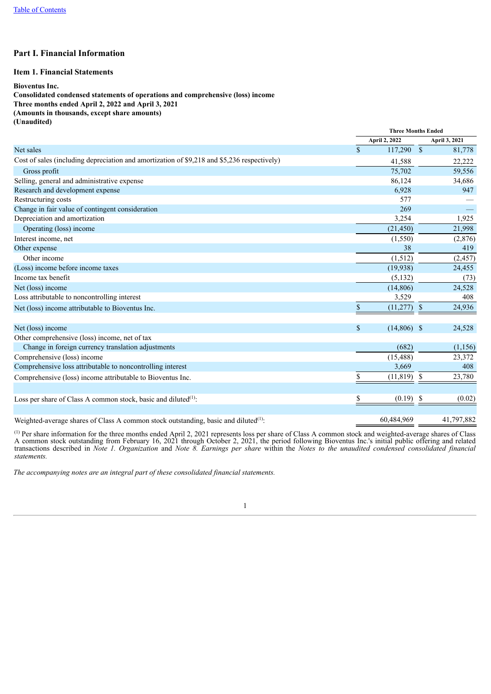# <span id="page-4-0"></span>**Part I. Financial Information**

## **Item 1. Financial Statements**

<span id="page-4-1"></span>**Bioventus Inc.**

**Consolidated condensed statements of operations and comprehensive (loss) income Three months ended April 2, 2022 and April 3, 2021 (Amounts in thousands, except share amounts) (Unaudited)**

|                                                                                                 |             | <b>Three Months Ended</b> |    |               |
|-------------------------------------------------------------------------------------------------|-------------|---------------------------|----|---------------|
|                                                                                                 |             | April 2, 2022             |    | April 3, 2021 |
| Net sales                                                                                       | $\mathbf S$ | 117,290 \$                |    | 81,778        |
| Cost of sales (including depreciation and amortization of \$9,218 and \$5,236 respectively)     |             | 41,588                    |    | 22,222        |
| Gross profit                                                                                    |             | 75,702                    |    | 59,556        |
| Selling, general and administrative expense                                                     |             | 86,124                    |    | 34,686        |
| Research and development expense                                                                |             | 6,928                     |    | 947           |
| Restructuring costs                                                                             |             | 577                       |    |               |
| Change in fair value of contingent consideration                                                |             | 269                       |    |               |
| Depreciation and amortization                                                                   |             | 3,254                     |    | 1,925         |
| Operating (loss) income                                                                         |             | (21, 450)                 |    | 21,998        |
| Interest income, net                                                                            |             | (1,550)                   |    | (2,876)       |
| Other expense                                                                                   |             | 38                        |    | 419           |
| Other income                                                                                    |             | (1,512)                   |    | (2,457)       |
| (Loss) income before income taxes                                                               |             | (19,938)                  |    | 24,455        |
| Income tax benefit                                                                              |             | (5,132)                   |    | (73)          |
| Net (loss) income                                                                               |             | (14,806)                  |    | 24,528        |
| Loss attributable to noncontrolling interest                                                    |             | 3,529                     |    | 408           |
| Net (loss) income attributable to Bioventus Inc.                                                | \$          | $(11,277)$ \$             |    | 24,936        |
| Net (loss) income                                                                               | \$          | $(14,806)$ \$             |    | 24,528        |
| Other comprehensive (loss) income, net of tax                                                   |             |                           |    |               |
| Change in foreign currency translation adjustments                                              |             | (682)                     |    | (1,156)       |
| Comprehensive (loss) income                                                                     |             | (15, 488)                 |    | 23,372        |
| Comprehensive loss attributable to noncontrolling interest                                      |             | 3,669                     |    | 408           |
| Comprehensive (loss) income attributable to Bioventus Inc.                                      | \$          | $(11, 819)$ \$            |    | 23,780        |
|                                                                                                 | \$          | (0.19)                    | -S | (0.02)        |
| Loss per share of Class A common stock, basic and diluted <sup>(1)</sup> :                      |             |                           |    |               |
| Weighted-average shares of Class A common stock outstanding, basic and diluted <sup>(1)</sup> : |             | 60,484,969                |    | 41,797,882    |

 $(1)$  Per share information for the three months ended April 2, 2021 represents loss per share of Class A common stock and weighted-average shares of Class A common stock outstanding from February 16, 2021 through October 2, 2021, the period following Bioventus Inc.'s initial public offering and related transactions described in Note 1. Organization and Note 8. Earnings per share within the Notes to the unaudited condensed consolidated financial *statements.*

<span id="page-4-2"></span>*The accompanying notes are an integral part of these consolidated financial statements.*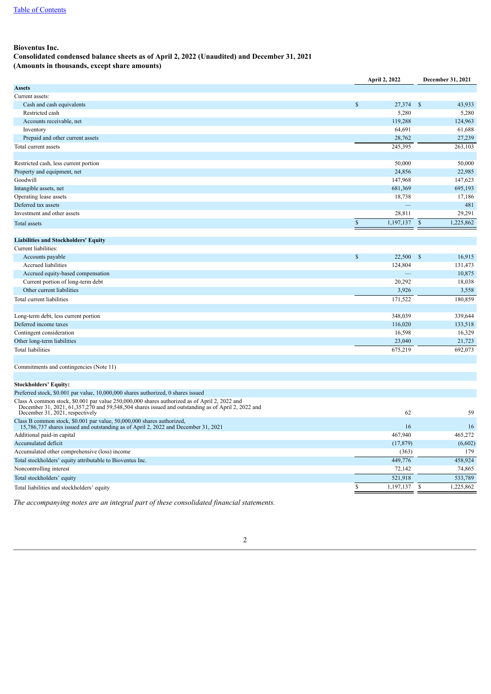**Bioventus Inc.**

**Consolidated condensed balance sheets as of April 2, 2022 (Unaudited) and December 31, 2021**

**(Amounts in thousands, except share amounts)**

|                                                                                                                                                                                                                                        |               | April 2, 2022 |                           |           |  | December 31, 2021 |
|----------------------------------------------------------------------------------------------------------------------------------------------------------------------------------------------------------------------------------------|---------------|---------------|---------------------------|-----------|--|-------------------|
| <b>Assets</b>                                                                                                                                                                                                                          |               |               |                           |           |  |                   |
| Current assets:                                                                                                                                                                                                                        |               |               |                           |           |  |                   |
| Cash and cash equivalents                                                                                                                                                                                                              | $\mathcal{S}$ | 27,374 \$     |                           | 43,933    |  |                   |
| Restricted cash                                                                                                                                                                                                                        |               | 5,280         |                           | 5,280     |  |                   |
| Accounts receivable, net                                                                                                                                                                                                               |               | 119,288       |                           | 124,963   |  |                   |
| Inventory                                                                                                                                                                                                                              |               | 64,691        |                           | 61,688    |  |                   |
| Prepaid and other current assets                                                                                                                                                                                                       |               | 28,762        |                           | 27,239    |  |                   |
| Total current assets                                                                                                                                                                                                                   |               | 245,395       |                           | 263,103   |  |                   |
| Restricted cash, less current portion                                                                                                                                                                                                  |               | 50,000        |                           | 50,000    |  |                   |
| Property and equipment, net                                                                                                                                                                                                            |               | 24,856        |                           | 22,985    |  |                   |
| Goodwill                                                                                                                                                                                                                               |               | 147,968       |                           | 147,623   |  |                   |
| Intangible assets, net                                                                                                                                                                                                                 |               | 681,369       |                           | 695,193   |  |                   |
| Operating lease assets                                                                                                                                                                                                                 |               | 18,738        |                           | 17,186    |  |                   |
| Deferred tax assets                                                                                                                                                                                                                    |               |               |                           | 481       |  |                   |
| Investment and other assets                                                                                                                                                                                                            |               | 28,811        |                           | 29,291    |  |                   |
| Total assets                                                                                                                                                                                                                           | $\mathcal{S}$ | 1,197,137     | $\mathcal{S}$             | 1,225,862 |  |                   |
|                                                                                                                                                                                                                                        |               |               |                           |           |  |                   |
| <b>Liabilities and Stockholders' Equity</b>                                                                                                                                                                                            |               |               |                           |           |  |                   |
| Current liabilities:                                                                                                                                                                                                                   | $\mathbb{S}$  |               |                           |           |  |                   |
| Accounts payable<br>Accrued liabilities                                                                                                                                                                                                |               | 22,500        | $\boldsymbol{\mathsf{S}}$ | 16,915    |  |                   |
|                                                                                                                                                                                                                                        |               | 124,804       |                           | 131,473   |  |                   |
| Accrued equity-based compensation                                                                                                                                                                                                      |               |               |                           | 10,875    |  |                   |
| Current portion of long-term debt                                                                                                                                                                                                      |               | 20,292        |                           | 18,038    |  |                   |
| Other current liabilities                                                                                                                                                                                                              |               | 3,926         |                           | 3,558     |  |                   |
| Total current liabilities                                                                                                                                                                                                              |               | 171,522       |                           | 180,859   |  |                   |
| Long-term debt, less current portion                                                                                                                                                                                                   |               | 348,039       |                           | 339,644   |  |                   |
| Deferred income taxes                                                                                                                                                                                                                  |               | 116,020       |                           | 133,518   |  |                   |
| Contingent consideration                                                                                                                                                                                                               |               | 16,598        |                           | 16,329    |  |                   |
| Other long-term liabilities                                                                                                                                                                                                            |               | 23,040        |                           | 21,723    |  |                   |
| <b>Total liabilities</b>                                                                                                                                                                                                               |               | 675,219       |                           | 692,073   |  |                   |
|                                                                                                                                                                                                                                        |               |               |                           |           |  |                   |
| Commitments and contingencies (Note 11)                                                                                                                                                                                                |               |               |                           |           |  |                   |
| <b>Stockholders' Equity:</b>                                                                                                                                                                                                           |               |               |                           |           |  |                   |
| Preferred stock, \$0.001 par value, 10,000,000 shares authorized, 0 shares issued                                                                                                                                                      |               |               |                           |           |  |                   |
| Class A common stock, \$0.001 par value 250,000,000 shares authorized as of April 2, 2022 and<br>December 31, 2021, 61,357,270 and 59,548,504 shares issued and outstanding as of April 2, 2022 and<br>December 31, 2021, respectively |               | 62            |                           | 59        |  |                   |
| Class B common stock, \$0.001 par value, 50,000,000 shares authorized,<br>15,786,737 shares issued and outstanding as of April 2, 2022 and December 31, 2021                                                                           |               | 16            |                           | 16        |  |                   |
| Additional paid-in capital                                                                                                                                                                                                             |               | 467,940       |                           | 465,272   |  |                   |
| Accumulated deficit                                                                                                                                                                                                                    |               | (17, 879)     |                           | (6,602)   |  |                   |
| Accumulated other comprehensive (loss) income                                                                                                                                                                                          |               | (363)         |                           | 179       |  |                   |
| Total stockholders' equity attributable to Bioventus Inc.                                                                                                                                                                              |               | 449,776       |                           | 458,924   |  |                   |
| Noncontrolling interest                                                                                                                                                                                                                |               | 72,142        |                           | 74,865    |  |                   |
| Total stockholders' equity                                                                                                                                                                                                             |               | 521,918       |                           | 533,789   |  |                   |
| Total liabilities and stockholders' equity                                                                                                                                                                                             | \$            | 1,197,137     | $\mathbf S$               | 1,225,862 |  |                   |
|                                                                                                                                                                                                                                        |               |               |                           |           |  |                   |

<span id="page-5-0"></span>*The accompanying notes are an integral part of these consolidated financial statements.*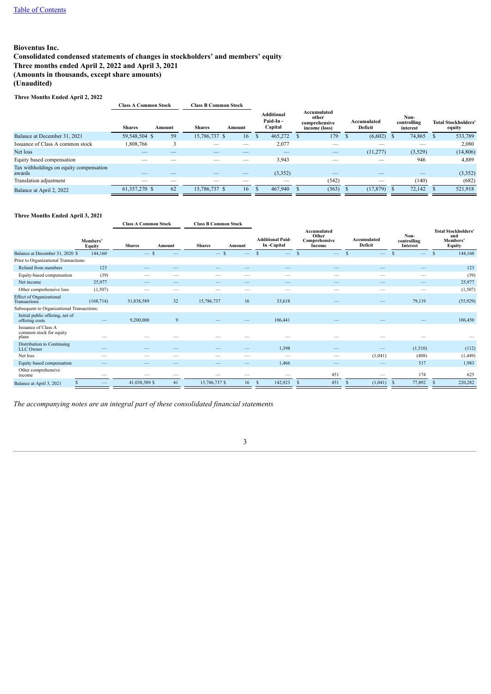# **Bioventus Inc.**

**Consolidated condensed statements of changes in stockholders' and members' equity**

**Three months ended April 2, 2022 and April 3, 2021**

**(Amounts in thousands, except share amounts)**

**(Unaudited)**

**Three Months Ended April 2, 2022**

|                                                   | <b>Class A Common Stock</b> |        | <b>Class B Common Stock</b> |        |  |                                          |  |                                                        |                        |                                 |                                      |  |  |  |  |  |  |  |
|---------------------------------------------------|-----------------------------|--------|-----------------------------|--------|--|------------------------------------------|--|--------------------------------------------------------|------------------------|---------------------------------|--------------------------------------|--|--|--|--|--|--|--|
|                                                   | <b>Shares</b>               | Amount | <b>Shares</b>               | Amount |  | <b>Additional</b><br>Paid-In-<br>Capital |  | Accumulated<br>other<br>comprehensive<br>income (loss) | Accumulated<br>Deficit | Non-<br>controlling<br>interest | <b>Total Stockholders'</b><br>equity |  |  |  |  |  |  |  |
| Balance at December 31, 2021                      | 59,548,504 \$               | 59     | 15,786,737 \$               | 16     |  | 465,272                                  |  | 179                                                    | (6,602)                | 74,865<br>-8                    | 533,789                              |  |  |  |  |  |  |  |
| Issuance of Class A common stock                  | ,808,766                    | $\sim$ | $-$                         | $-$    |  | 2,077                                    |  | --                                                     |                        |                                 | 2,080                                |  |  |  |  |  |  |  |
| Net loss                                          |                             |        | __                          | __     |  | —                                        |  |                                                        | (11, 277)              | (3,529)                         | (14, 806)                            |  |  |  |  |  |  |  |
| Equity based compensation                         |                             |        |                             |        |  | 3,943                                    |  |                                                        |                        | 946                             | 4,889                                |  |  |  |  |  |  |  |
| Tax withholdings on equity compensation<br>awards |                             |        |                             |        |  | (3,352)                                  |  |                                                        |                        |                                 | (3,352)                              |  |  |  |  |  |  |  |
| Translation adjustment                            |                             |        |                             |        |  |                                          |  | (542)                                                  |                        | (140)                           | (682)                                |  |  |  |  |  |  |  |
| Balance at April 2, 2022                          | 61,357,270 \$               | 62     | 15,786,737 \$               | 16     |  | 467,940                                  |  | (363)                                                  | (17, 879)              | 72,142                          | 521,918                              |  |  |  |  |  |  |  |

#### **Three Months Ended April 3, 2021**

|                                                         |                           | <b>Class A Common Stock</b>   |        | <b>Class B Common Stock</b> |        |                                        |                                                 |                        |                                        |                                                         |
|---------------------------------------------------------|---------------------------|-------------------------------|--------|-----------------------------|--------|----------------------------------------|-------------------------------------------------|------------------------|----------------------------------------|---------------------------------------------------------|
|                                                         | Members'<br><b>Equity</b> | <b>Shares</b>                 | Amount | <b>Shares</b>               | Amount | <b>Additional Paid-</b><br>In -Capital | Accumulated<br>Other<br>Comprehensive<br>Income | Accumulated<br>Deficit | Non-<br>controlling<br><b>Interest</b> | <b>Total Stockholders'</b><br>and<br>Members'<br>Equity |
| Balance at December 31, 2020 \$                         | 144,160                   | $-$ s                         |        | $-$ \$                      |        |                                        |                                                 |                        |                                        | 144,160<br><sup>S</sup>                                 |
| Prior to Organizational Transactions:                   |                           |                               |        |                             |        |                                        |                                                 |                        |                                        |                                                         |
| Refund from members                                     | 123                       |                               |        |                             |        |                                        |                                                 |                        |                                        | 123                                                     |
| Equity-based compensation                               | (39)                      |                               |        |                             |        |                                        |                                                 |                        |                                        | (39)                                                    |
| Net income                                              | 25,977                    |                               |        |                             |        |                                        |                                                 |                        |                                        | 25,977                                                  |
| Other comprehensive loss                                | (1,507)                   | $\overbrace{\phantom{12332}}$ |        |                             |        |                                        |                                                 | –                      | $\overbrace{\phantom{12332}}$          | (1,507)                                                 |
| <b>Effect of Organizational</b><br>Transactions         | (168, 714)                | 31,838,589                    | 32     | 15,786,737                  | 16     | 33,618                                 |                                                 |                        | 79,119                                 | (55, 929)                                               |
| Subsequent to Organizational Transactions:              |                           |                               |        |                             |        |                                        |                                                 |                        |                                        |                                                         |
| Initial public offering, net of<br>offering costs       |                           | 9,200,000                     | 9      |                             |        | 106,441                                |                                                 |                        |                                        | 106,450                                                 |
| Issuance of Class A<br>common stock for equity<br>plans |                           |                               |        |                             |        |                                        |                                                 |                        |                                        |                                                         |
| Distribution to Continuing<br>LLC Owner                 |                           |                               |        |                             |        | 1,398                                  |                                                 |                        | (1,510)                                | (112)                                                   |
| Net loss                                                |                           |                               |        |                             |        | $\overline{\phantom{a}}$               | --                                              | (1,041)                | (408)                                  | (1, 449)                                                |
| Equity based compensation                               |                           |                               |        |                             |        | 1,466                                  |                                                 |                        | 517                                    | 1,983                                                   |
| Other comprehensive<br>income                           |                           |                               |        |                             |        |                                        | 451                                             |                        | 174                                    | 625                                                     |
| Balance at April 3, 2021                                |                           | 41,038,589 \$                 | 41     | 15,786,737 \$               | 16     | 142,923<br>-S                          | 451                                             | (1,041)                | 77,892<br>-8                           | 220,282                                                 |

<span id="page-6-0"></span>*The accompanying notes are an integral part of these consolidated financial statements.*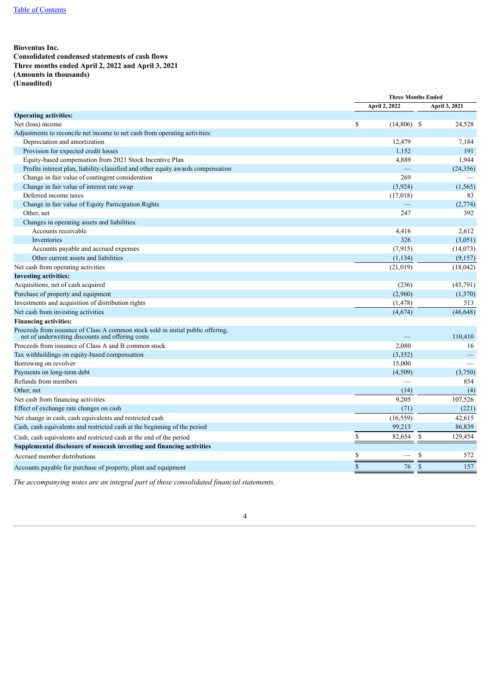# **Bioventus Inc. Consolidated condensed statements of cash flows Three months ended April 2, 2022 and April 3, 2021 (Amounts in thousands) (Unaudited)**

|                                                                                                                                     |               | <b>Three Months Ended</b> |                    |               |
|-------------------------------------------------------------------------------------------------------------------------------------|---------------|---------------------------|--------------------|---------------|
|                                                                                                                                     | April 2, 2022 |                           |                    | April 3, 2021 |
| <b>Operating activities:</b>                                                                                                        |               |                           |                    |               |
| Net (loss) income                                                                                                                   | \$            | $(14,806)$ \$             |                    | 24,528        |
| Adjustments to reconcile net income to net cash from operating activities:                                                          |               |                           |                    |               |
| Depreciation and amortization                                                                                                       |               | 12,479                    |                    | 7,184         |
| Provision for expected credit losses                                                                                                |               | 1,152                     |                    | 191           |
| Equity-based compensation from 2021 Stock Incentive Plan                                                                            |               | 4,889                     |                    | 1,944         |
| Profits interest plan, liability-classified and other equity awards compensation                                                    |               |                           |                    | (24, 356)     |
| Change in fair value of contingent consideration                                                                                    |               | 269                       |                    |               |
| Change in fair value of interest rate swap                                                                                          |               | (3,924)                   |                    | (1, 565)      |
| Deferred income taxes                                                                                                               |               | (17,018)                  |                    | 83            |
| Change in fair value of Equity Participation Rights                                                                                 |               |                           |                    | (2,774)       |
| Other, net                                                                                                                          |               | 247                       |                    | 392           |
| Changes in operating assets and liabilities:                                                                                        |               |                           |                    |               |
| Accounts receivable                                                                                                                 |               | 4,416                     |                    | 2,612         |
| Inventories                                                                                                                         |               | 326                       |                    | (3,051)       |
| Accounts payable and accrued expenses                                                                                               |               | (7.915)                   |                    | (14,073)      |
| Other current assets and liabilities                                                                                                |               | (1, 134)                  |                    | (9,157)       |
| Net cash from operating activities                                                                                                  |               | (21, 019)                 |                    | (18,042)      |
| <b>Investing activities:</b>                                                                                                        |               |                           |                    |               |
| Acquisitions, net of cash acquired                                                                                                  |               | (236)                     |                    | (45,791)      |
| Purchase of property and equipment                                                                                                  |               | (2,960)                   |                    | (1,370)       |
| Investments and acquisition of distribution rights                                                                                  |               | (1, 478)                  |                    | 513           |
| Net cash from investing activities                                                                                                  |               | (4,674)                   |                    | (46, 648)     |
| <b>Financing activities:</b>                                                                                                        |               |                           |                    |               |
| Proceeds from issuance of Class A common stock sold in initial public offering,<br>net of underwriting discounts and offering costs |               |                           |                    | 110,410       |
| Proceeds from issuance of Class A and B common stock                                                                                |               | 2.080                     |                    | 16            |
| Tax withholdings on equity-based compensation                                                                                       |               | (3, 352)                  |                    |               |
| Borrowing on revolver                                                                                                               |               | 15,000                    |                    |               |
| Payments on long-term debt                                                                                                          |               | (4,509)                   |                    | (3,750)       |
| Refunds from members                                                                                                                |               |                           |                    | 854           |
| Other, net                                                                                                                          |               | (14)                      |                    | (4)           |
| Net cash from financing activities                                                                                                  |               | 9,205                     |                    | 107,526       |
| Effect of exchange rate changes on cash                                                                                             |               | (71)                      |                    | (221)         |
| Net change in cash, cash equivalents and restricted cash                                                                            |               | (16, 559)                 |                    | 42,615        |
| Cash, cash equivalents and restricted cash at the beginning of the period                                                           |               | 99,213                    |                    | 86,839        |
| Cash, cash equivalents and restricted cash at the end of the period                                                                 | \$            | 82,654                    | <sup>\$</sup>      | 129,454       |
| Supplemental disclosure of noncash investing and financing activities                                                               |               |                           |                    |               |
| Accrued member distributions                                                                                                        | S             |                           | S                  | 572           |
|                                                                                                                                     | $\mathbf S$   | 76                        | $\mathbf{\hat{S}}$ | 157           |
| Accounts payable for purchase of property, plant and equipment                                                                      |               |                           |                    |               |

<span id="page-7-0"></span>*The accompanying notes are an integral part of these consolidated financial statements.*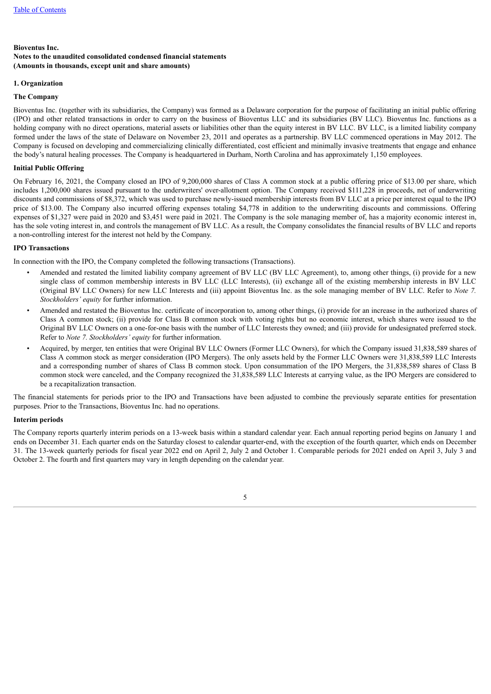#### **Bioventus Inc. Notes to the unaudited consolidated condensed financial statements (Amounts in thousands, except unit and share amounts)**

#### **1. Organization**

#### **The Company**

Bioventus Inc. (together with its subsidiaries, the Company) was formed as a Delaware corporation for the purpose of facilitating an initial public offering (IPO) and other related transactions in order to carry on the business of Bioventus LLC and its subsidiaries (BV LLC). Bioventus Inc. functions as a holding company with no direct operations, material assets or liabilities other than the equity interest in BV LLC. BV LLC, is a limited liability company formed under the laws of the state of Delaware on November 23, 2011 and operates as a partnership. BV LLC commenced operations in May 2012. The Company is focused on developing and commercializing clinically differentiated, cost efficient and minimally invasive treatments that engage and enhance the body's natural healing processes. The Company is headquartered in Durham, North Carolina and has approximately 1,150 employees.

#### **Initial Public Offering**

On February 16, 2021, the Company closed an IPO of 9,200,000 shares of Class A common stock at a public offering price of \$13.00 per share, which includes 1,200,000 shares issued pursuant to the underwriters' over-allotment option. The Company received \$111,228 in proceeds, net of underwriting discounts and commissions of \$8,372, which was used to purchase newly-issued membership interests from BV LLC at a price per interest equal to the IPO price of \$13.00. The Company also incurred offering expenses totaling \$4,778 in addition to the underwriting discounts and commissions. Offering expenses of \$1,327 were paid in 2020 and \$3,451 were paid in 2021. The Company is the sole managing member of, has a majority economic interest in, has the sole voting interest in, and controls the management of BV LLC. As a result, the Company consolidates the financial results of BV LLC and reports a non-controlling interest for the interest not held by the Company.

#### **IPO Transactions**

In connection with the IPO, the Company completed the following transactions (Transactions).

- Amended and restated the limited liability company agreement of BV LLC (BV LLC Agreement), to, among other things, (i) provide for a new single class of common membership interests in BV LLC (LLC Interests), (ii) exchange all of the existing membership interests in BV LLC (Original BV LLC Owners) for new LLC Interests and (iii) appoint Bioventus Inc. as the sole managing member of BV LLC. Refer to *Note 7. Stockholders' equity* for further information.
- Amended and restated the Bioventus Inc. certificate of incorporation to, among other things, (i) provide for an increase in the authorized shares of Class A common stock; (ii) provide for Class B common stock with voting rights but no economic interest, which shares were issued to the Original BV LLC Owners on a one-for-one basis with the number of LLC Interests they owned; and (iii) provide for undesignated preferred stock. Refer to *Note 7. Stockholders' equity* for further information.
- Acquired, by merger, ten entities that were Original BV LLC Owners (Former LLC Owners), for which the Company issued 31,838,589 shares of Class A common stock as merger consideration (IPO Mergers). The only assets held by the Former LLC Owners were 31,838,589 LLC Interests and a corresponding number of shares of Class B common stock. Upon consummation of the IPO Mergers, the 31,838,589 shares of Class B common stock were canceled, and the Company recognized the 31,838,589 LLC Interests at carrying value, as the IPO Mergers are considered to be a recapitalization transaction.

The financial statements for periods prior to the IPO and Transactions have been adjusted to combine the previously separate entities for presentation purposes. Prior to the Transactions, Bioventus Inc. had no operations.

#### **Interim periods**

The Company reports quarterly interim periods on a 13-week basis within a standard calendar year. Each annual reporting period begins on January 1 and ends on December 31. Each quarter ends on the Saturday closest to calendar quarter-end, with the exception of the fourth quarter, which ends on December 31. The 13-week quarterly periods for fiscal year 2022 end on April 2, July 2 and October 1. Comparable periods for 2021 ended on April 3, July 3 and October 2. The fourth and first quarters may vary in length depending on the calendar year.

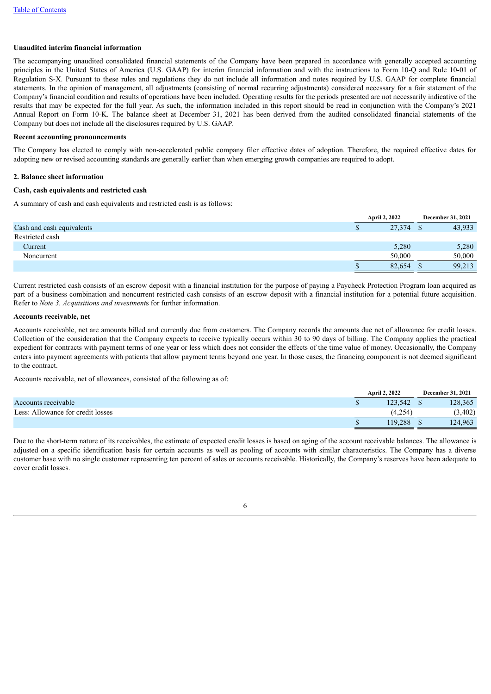# **Unaudited interim financial information**

The accompanying unaudited consolidated financial statements of the Company have been prepared in accordance with generally accepted accounting principles in the United States of America (U.S. GAAP) for interim financial information and with the instructions to Form 10-Q and Rule 10-01 of Regulation S-X. Pursuant to these rules and regulations they do not include all information and notes required by U.S. GAAP for complete financial statements. In the opinion of management, all adjustments (consisting of normal recurring adjustments) considered necessary for a fair statement of the Company's financial condition and results of operations have been included. Operating results for the periods presented are not necessarily indicative of the results that may be expected for the full year. As such, the information included in this report should be read in conjunction with the Company's 2021 Annual Report on Form 10-K. The balance sheet at December 31, 2021 has been derived from the audited consolidated financial statements of the Company but does not include all the disclosures required by U.S. GAAP.

#### **Recent accounting pronouncements**

The Company has elected to comply with non-accelerated public company filer effective dates of adoption. Therefore, the required effective dates for adopting new or revised accounting standards are generally earlier than when emerging growth companies are required to adopt.

#### **2. Balance sheet information**

#### **Cash, cash equivalents and restricted cash**

A summary of cash and cash equivalents and restricted cash is as follows:

|                           |   | <b>April 2, 2022</b> | December 31, 2021 |
|---------------------------|---|----------------------|-------------------|
| Cash and cash equivalents | Φ | 27,374               | 43,933            |
| Restricted cash           |   |                      |                   |
| Current                   |   | 5,280                | 5,280             |
| Noncurrent                |   | 50,000               | 50,000            |
|                           |   | 82,654               | 99,213            |

Current restricted cash consists of an escrow deposit with a financial institution for the purpose of paying a Paycheck Protection Program loan acquired as part of a business combination and noncurrent restricted cash consists of an escrow deposit with a financial institution for a potential future acquisition. Refer to *Note 3. Acquisitions and investment*s for further information.

#### **Accounts receivable, net**

Accounts receivable, net are amounts billed and currently due from customers. The Company records the amounts due net of allowance for credit losses. Collection of the consideration that the Company expects to receive typically occurs within 30 to 90 days of billing. The Company applies the practical expedient for contracts with payment terms of one year or less which does not consider the effects of the time value of money. Occasionally, the Company enters into payment agreements with patients that allow payment terms beyond one year. In those cases, the financing component is not deemed significant to the contract.

Accounts receivable, net of allowances, consisted of the following as of:

|                                   | <b>April 2, 2022</b> | <b>December 31, 2021</b> |
|-----------------------------------|----------------------|--------------------------|
| Accounts receivable               | 123.542              | 128,365                  |
| Less: Allowance for credit losses | (4.254)              | (3,402)                  |
|                                   | 119.288              | 124,963                  |

Due to the short-term nature of its receivables, the estimate of expected credit losses is based on aging of the account receivable balances. The allowance is adjusted on a specific identification basis for certain accounts as well as pooling of accounts with similar characteristics. The Company has a diverse customer base with no single customer representing ten percent of sales or accounts receivable. Historically, the Company's reserves have been adequate to cover credit losses.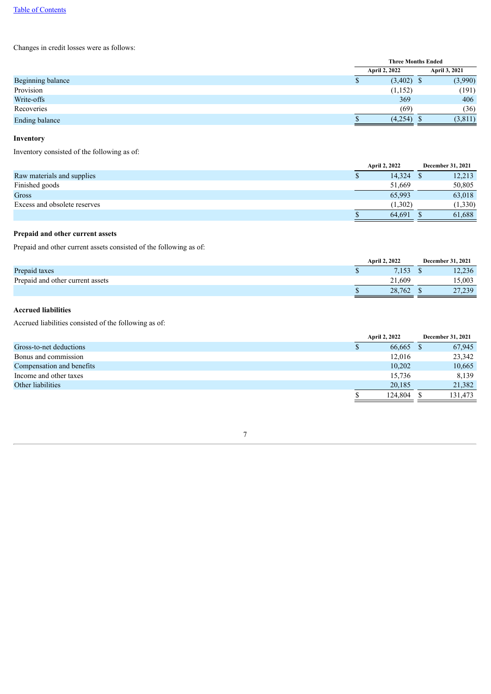Changes in credit losses were as follows:

|                   | <b>Three Months Ended</b> |      |               |  |
|-------------------|---------------------------|------|---------------|--|
|                   | <b>April 2, 2022</b>      |      | April 3, 2021 |  |
| Beginning balance | $(3,402)$ \$              |      | (3,990)       |  |
| Provision         | (1,152)                   |      | (191)         |  |
| Write-offs        | 369                       |      | 406           |  |
| Recoveries        | (69)                      |      | (36)          |  |
| Ending balance    | (4,254)                   | - \$ | (3,811)       |  |

# **Inventory**

Inventory consisted of the following as of:

|                              | <b>April 2, 2022</b> | December 31, 2021 |
|------------------------------|----------------------|-------------------|
| Raw materials and supplies   | 14.324               | 12,213            |
| Finished goods               | 51.669               | 50,805            |
| Gross                        | 65,993               | 63,018            |
| Excess and obsolete reserves | (1,302)              | (1,330)           |
|                              | 64,691               | 61,688            |

# **Prepaid and other current assets**

Prepaid and other current assets consisted of the following as of:

|                                  | <b>April 2, 2022</b> | <b>December 31, 2021</b> |
|----------------------------------|----------------------|--------------------------|
| Prepaid taxes                    | 7.153                | 12,236                   |
| Prepaid and other current assets | 21.609               | 15,003                   |
|                                  | 28.762               | 27,239                   |

# **Accrued liabilities**

Accrued liabilities consisted of the following as of:

|                           |    | <b>April 2, 2022</b> |  | <b>December 31, 2021</b> |  |
|---------------------------|----|----------------------|--|--------------------------|--|
| Gross-to-net deductions   | ۰D | 66,665 \$            |  | 67,945                   |  |
| Bonus and commission      |    | 12.016               |  | 23,342                   |  |
| Compensation and benefits |    | 10,202               |  | 10,665                   |  |
| Income and other taxes    |    | 15,736               |  | 8,139                    |  |
| Other liabilities         |    | 20.185               |  | 21.382                   |  |
|                           |    | 124,804              |  | 131.473                  |  |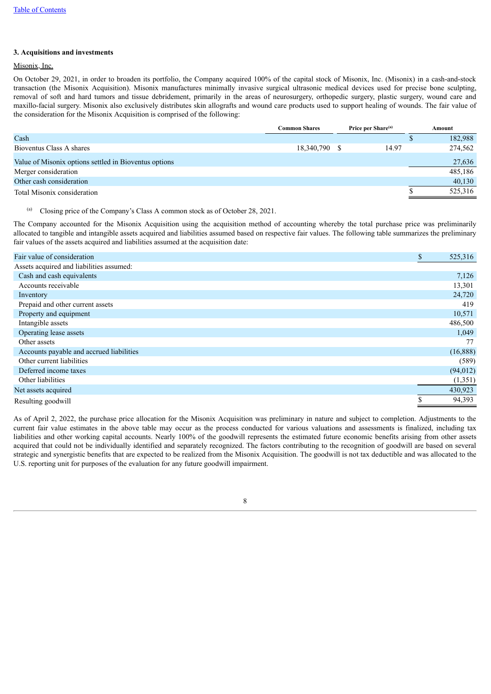# **3. Acquisitions and investments**

Misonix, Inc.

On October 29, 2021, in order to broaden its portfolio, the Company acquired 100% of the capital stock of Misonix, Inc. (Misonix) in a cash-and-stock transaction (the Misonix Acquisition). Misonix manufactures minimally invasive surgical ultrasonic medical devices used for precise bone sculpting, removal of soft and hard tumors and tissue debridement, primarily in the areas of neurosurgery, orthopedic surgery, plastic surgery, wound care and maxillo-facial surgery. Misonix also exclusively distributes skin allografts and wound care products used to support healing of wounds. The fair value of the consideration for the Misonix Acquisition is comprised of the following:

|                                                       | Common Shares | Price per Share <sup>(a)</sup> | Amount  |
|-------------------------------------------------------|---------------|--------------------------------|---------|
| Cash                                                  |               |                                | 182,988 |
| Bioventus Class A shares                              | 18,340,790 \$ | 14.97                          | 274,562 |
| Value of Misonix options settled in Bioventus options |               |                                | 27,636  |
| Merger consideration                                  |               |                                | 485,186 |
| Other cash consideration                              |               |                                | 40,130  |
| Total Misonix consideration                           |               |                                | 525,316 |

Closing price of the Company's Class A common stock as of October 28, 2021. (a)

The Company accounted for the Misonix Acquisition using the acquisition method of accounting whereby the total purchase price was preliminarily allocated to tangible and intangible assets acquired and liabilities assumed based on respective fair values. The following table summarizes the preliminary fair values of the assets acquired and liabilities assumed at the acquisition date:

| Fair value of consideration              | $\mathcal{S}$ | 525,316   |
|------------------------------------------|---------------|-----------|
| Assets acquired and liabilities assumed: |               |           |
| Cash and cash equivalents                |               | 7,126     |
| Accounts receivable                      |               | 13,301    |
| Inventory                                |               | 24,720    |
| Prepaid and other current assets         |               | 419       |
| Property and equipment                   |               | 10,571    |
| Intangible assets                        |               | 486,500   |
| Operating lease assets                   |               | 1,049     |
| Other assets                             |               | 77        |
| Accounts payable and accrued liabilities |               | (16,888)  |
| Other current liabilities                |               | (589)     |
| Deferred income taxes                    |               | (94, 012) |
| Other liabilities                        |               | (1,351)   |
| Net assets acquired                      |               | 430,923   |
| Resulting goodwill                       |               | 94,393    |

As of April 2, 2022, the purchase price allocation for the Misonix Acquisition was preliminary in nature and subject to completion. Adjustments to the current fair value estimates in the above table may occur as the process conducted for various valuations and assessments is finalized, including tax liabilities and other working capital accounts. Nearly 100% of the goodwill represents the estimated future economic benefits arising from other assets acquired that could not be individually identified and separately recognized. The factors contributing to the recognition of goodwill are based on several strategic and synergistic benefits that are expected to be realized from the Misonix Acquisition. The goodwill is not tax deductible and was allocated to the U.S. reporting unit for purposes of the evaluation for any future goodwill impairment.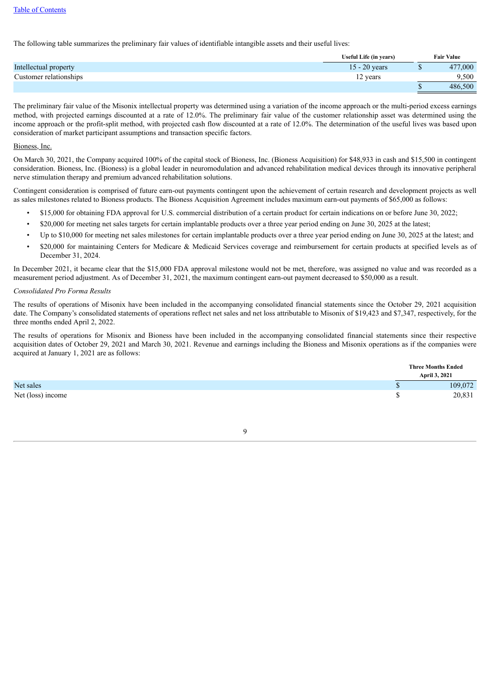The following table summarizes the preliminary fair values of identifiable intangible assets and their useful lives:

|                        | <b>Useful Life (in years)</b> | <b>Fair Value</b> |
|------------------------|-------------------------------|-------------------|
| Intellectual property  | $15 - 20$ years               | 477,000           |
| Customer relationships | 12 years                      | 9,500             |
|                        |                               | 486.500           |

The preliminary fair value of the Misonix intellectual property was determined using a variation of the income approach or the multi-period excess earnings method, with projected earnings discounted at a rate of 12.0%. The preliminary fair value of the customer relationship asset was determined using the income approach or the profit-split method, with projected cash flow discounted at a rate of 12.0%. The determination of the useful lives was based upon consideration of market participant assumptions and transaction specific factors.

#### Bioness, Inc.

On March 30, 2021, the Company acquired 100% of the capital stock of Bioness, Inc. (Bioness Acquisition) for \$48,933 in cash and \$15,500 in contingent consideration. Bioness, Inc. (Bioness) is a global leader in neuromodulation and advanced rehabilitation medical devices through its innovative peripheral nerve stimulation therapy and premium advanced rehabilitation solutions.

Contingent consideration is comprised of future earn-out payments contingent upon the achievement of certain research and development projects as well as sales milestones related to Bioness products. The Bioness Acquisition Agreement includes maximum earn-out payments of \$65,000 as follows:

- \$15,000 for obtaining FDA approval for U.S. commercial distribution of a certain product for certain indications on or before June 30, 2022;
- \$20,000 for meeting net sales targets for certain implantable products over a three year period ending on June 30, 2025 at the latest;
- Up to \$10,000 for meeting net sales milestones for certain implantable products over a three year period ending on June 30, 2025 at the latest; and
- \$20,000 for maintaining Centers for Medicare & Medicaid Services coverage and reimbursement for certain products at specified levels as of December 31, 2024.

In December 2021, it became clear that the \$15,000 FDA approval milestone would not be met, therefore, was assigned no value and was recorded as a measurement period adjustment. As of December 31, 2021, the maximum contingent earn-out payment decreased to \$50,000 as a result.

#### *Consolidated Pro Forma Results*

The results of operations of Misonix have been included in the accompanying consolidated financial statements since the October 29, 2021 acquisition date. The Company's consolidated statements of operations reflect net sales and net loss attributable to Misonix of \$19,423 and \$7,347, respectively, for the three months ended April 2, 2022.

The results of operations for Misonix and Bioness have been included in the accompanying consolidated financial statements since their respective acquisition dates of October 29, 2021 and March 30, 2021. Revenue and earnings including the Bioness and Misonix operations as if the companies were acquired at January 1, 2021 are as follows:

|                   | <b>Three Months Ended</b> |
|-------------------|---------------------------|
|                   | April 3, 2021             |
| Net sales         | 109,072                   |
| Net (loss) income | 20,831                    |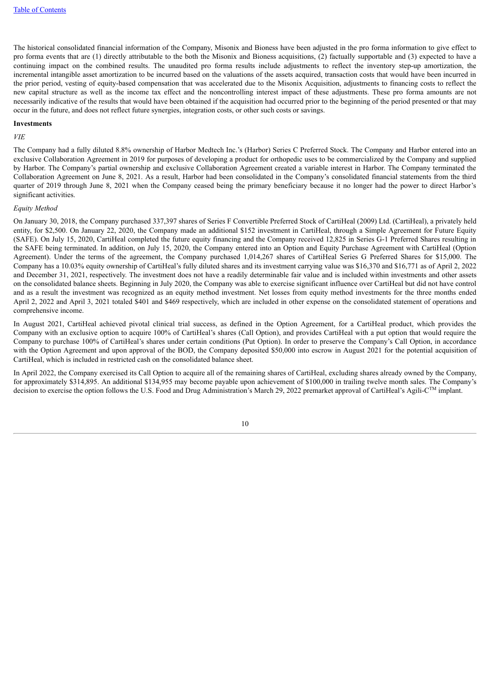The historical consolidated financial information of the Company, Misonix and Bioness have been adjusted in the pro forma information to give effect to pro forma events that are (1) directly attributable to the both the Misonix and Bioness acquisitions, (2) factually supportable and (3) expected to have a continuing impact on the combined results. The unaudited pro forma results include adjustments to reflect the inventory step-up amortization, the incremental intangible asset amortization to be incurred based on the valuations of the assets acquired, transaction costs that would have been incurred in the prior period, vesting of equity-based compensation that was accelerated due to the Misonix Acquisition, adjustments to financing costs to reflect the new capital structure as well as the income tax effect and the noncontrolling interest impact of these adjustments. These pro forma amounts are not necessarily indicative of the results that would have been obtained if the acquisition had occurred prior to the beginning of the period presented or that may occur in the future, and does not reflect future synergies, integration costs, or other such costs or savings.

#### **Investments**

#### *VIE*

The Company had a fully diluted 8.8% ownership of Harbor Medtech Inc.'s (Harbor) Series C Preferred Stock. The Company and Harbor entered into an exclusive Collaboration Agreement in 2019 for purposes of developing a product for orthopedic uses to be commercialized by the Company and supplied by Harbor. The Company's partial ownership and exclusive Collaboration Agreement created a variable interest in Harbor. The Company terminated the Collaboration Agreement on June 8, 2021. As a result, Harbor had been consolidated in the Company's consolidated financial statements from the third quarter of 2019 through June 8, 2021 when the Company ceased being the primary beneficiary because it no longer had the power to direct Harbor's significant activities.

#### *Equity Method*

On January 30, 2018, the Company purchased 337,397 shares of Series F Convertible Preferred Stock of CartiHeal (2009) Ltd. (CartiHeal), a privately held entity, for \$2,500. On January 22, 2020, the Company made an additional \$152 investment in CartiHeal, through a Simple Agreement for Future Equity (SAFE). On July 15, 2020, CartiHeal completed the future equity financing and the Company received 12,825 in Series G-1 Preferred Shares resulting in the SAFE being terminated. In addition, on July 15, 2020, the Company entered into an Option and Equity Purchase Agreement with CartiHeal (Option Agreement). Under the terms of the agreement, the Company purchased 1,014,267 shares of CartiHeal Series G Preferred Shares for \$15,000. The Company has a 10.03% equity ownership of CartiHeal's fully diluted shares and its investment carrying value was \$16,370 and \$16,771 as of April 2, 2022 and December 31, 2021, respectively. The investment does not have a readily determinable fair value and is included within investments and other assets on the consolidated balance sheets. Beginning in July 2020, the Company was able to exercise significant influence over CartiHeal but did not have control and as a result the investment was recognized as an equity method investment. Net losses from equity method investments for the three months ended April 2, 2022 and April 3, 2021 totaled \$401 and \$469 respectively, which are included in other expense on the consolidated statement of operations and comprehensive income.

In August 2021, CartiHeal achieved pivotal clinical trial success, as defined in the Option Agreement, for a CartiHeal product, which provides the Company with an exclusive option to acquire 100% of CartiHeal's shares (Call Option), and provides CartiHeal with a put option that would require the Company to purchase 100% of CartiHeal's shares under certain conditions (Put Option). In order to preserve the Company's Call Option, in accordance with the Option Agreement and upon approval of the BOD, the Company deposited \$50,000 into escrow in August 2021 for the potential acquisition of CartiHeal, which is included in restricted cash on the consolidated balance sheet.

In April 2022, the Company exercised its Call Option to acquire all of the remaining shares of CartiHeal, excluding shares already owned by the Company, for approximately \$314,895. An additional \$134,955 may become payable upon achievement of \$100,000 in trailing twelve month sales. The Company's decision to exercise the option follows the U.S. Food and Drug Administration's March 29, 2022 premarket approval of CartiHeal's Agili-C<sup>TM</sup> implant.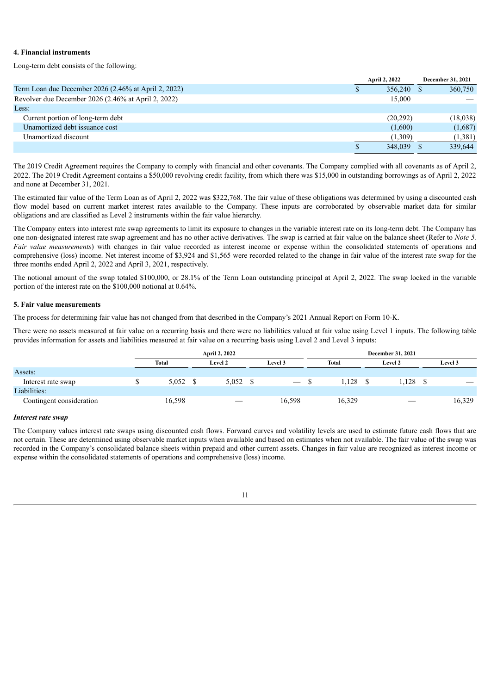#### **4. Financial instruments**

Long-term debt consists of the following:

|                                                        | <b>April 2, 2022</b> | <b>December 31, 2021</b> |
|--------------------------------------------------------|----------------------|--------------------------|
| Term Loan due December $2026$ (2.46% at April 2, 2022) | 356,240              | 360,750                  |
| Revolver due December 2026 (2.46% at April 2, 2022)    | 15.000               |                          |
| Less:                                                  |                      |                          |
| Current portion of long-term debt                      | (20,292)             | (18,038)                 |
| Unamortized debt issuance cost                         | (1,600)              | (1,687)                  |
| Unamortized discount                                   | (1,309)              | (1,381)                  |
|                                                        | 348,039              | 339,644                  |

The 2019 Credit Agreement requires the Company to comply with financial and other covenants. The Company complied with all covenants as of April 2, 2022. The 2019 Credit Agreement contains a \$50,000 revolving credit facility, from which there was \$15,000 in outstanding borrowings as of April 2, 2022 and none at December 31, 2021.

The estimated fair value of the Term Loan as of April 2, 2022 was \$322,768. The fair value of these obligations was determined by using a discounted cash flow model based on current market interest rates available to the Company. These inputs are corroborated by observable market data for similar obligations and are classified as Level 2 instruments within the fair value hierarchy.

The Company enters into interest rate swap agreements to limit its exposure to changes in the variable interest rate on its long-term debt. The Company has one non-designated interest rate swap agreement and has no other active derivatives. The swap is carried at fair value on the balance sheet (Refer to *Note 5. Fair value measurements*) with changes in fair value recorded as interest income or expense within the consolidated statements of operations and comprehensive (loss) income. Net interest income of \$3,924 and \$1,565 were recorded related to the change in fair value of the interest rate swap for the three months ended April 2, 2022 and April 3, 2021, respectively.

The notional amount of the swap totaled \$100,000, or 28.1% of the Term Loan outstanding principal at April 2, 2022. The swap locked in the variable portion of the interest rate on the \$100,000 notional at 0.64%.

#### **5. Fair value measurements**

The process for determining fair value has not changed from that described in the Company's 2021 Annual Report on Form 10-K.

There were no assets measured at fair value on a recurring basis and there were no liabilities valued at fair value using Level 1 inputs. The following table provides information for assets and liabilities measured at fair value on a recurring basis using Level 2 and Level 3 inputs:

|                          | <b>April 2, 2022</b> |  |            |  |                   |              | December 31, 2021 |         |
|--------------------------|----------------------|--|------------|--|-------------------|--------------|-------------------|---------|
|                          | Total                |  | Level 2    |  | Level 3           | <b>Total</b> | Level 2           | Level 3 |
| Assets:                  |                      |  |            |  |                   |              |                   |         |
| Interest rate swap       | 5,052                |  | $5,052$ \$ |  | $\hspace{0.05cm}$ | .128         | .128              |         |
| Liabilities:             |                      |  |            |  |                   |              |                   |         |
| Contingent consideration | 16,598               |  |            |  | 16,598            | 16,329       |                   | 16,329  |

#### *Interest rate swap*

The Company values interest rate swaps using discounted cash flows. Forward curves and volatility levels are used to estimate future cash flows that are not certain. These are determined using observable market inputs when available and based on estimates when not available. The fair value of the swap was recorded in the Company's consolidated balance sheets within prepaid and other current assets. Changes in fair value are recognized as interest income or expense within the consolidated statements of operations and comprehensive (loss) income.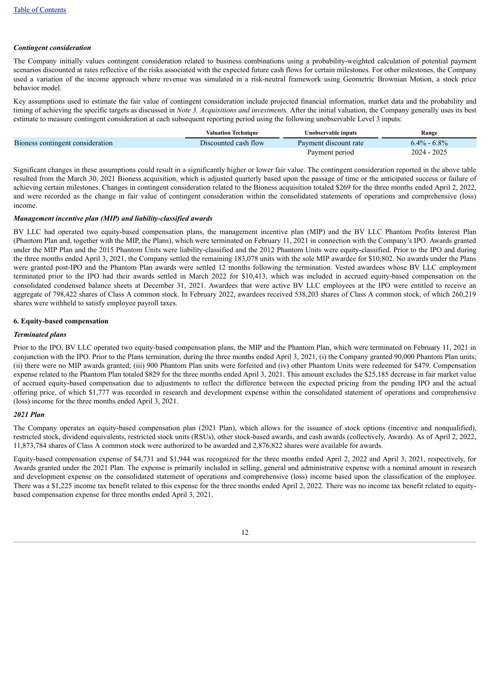#### *Contingent consideration*

The Company initially values contingent consideration related to business combinations using a probability-weighted calculation of potential payment scenarios discounted at rates reflective of the risks associated with the expected future cash flows for certain milestones. For other milestones, the Company used a variation of the income approach where revenue was simulated in a risk-neutral framework using Geometric Brownian Motion, a stock price behavior model.

Key assumptions used to estimate the fair value of contingent consideration include projected financial information, market data and the probability and timing of achieving the specific targets as discussed in *Note 3. Acquisitions and investment*s. After the initial valuation, the Company generally uses its best estimate to measure contingent consideration at each subsequent reporting period using the following unobservable Level 3 inputs:

|                                  | <b>Valuation Technique</b> | ∪nobservable inputs   | Range            |
|----------------------------------|----------------------------|-----------------------|------------------|
| Bioness contingent consideration | Discounted cash flow       | Payment discount rate | $6.4\% - 6.8\%$  |
|                                  |                            | Payment period        | 2025<br>$2024 -$ |

Significant changes in these assumptions could result in a significantly higher or lower fair value. The contingent consideration reported in the above table resulted from the March 30, 2021 Bioness acquisition, which is adjusted quarterly based upon the passage of time or the anticipated success or failure of achieving certain milestones. Changes in contingent consideration related to the Bioness acquisition totaled \$269 for the three months ended April 2, 2022, and were recorded as the change in fair value of contingent consideration within the consolidated statements of operations and comprehensive (loss) income.

#### *Management incentive plan (MIP) and liability-classified awards*

BV LLC had operated two equity-based compensation plans, the management incentive plan (MIP) and the BV LLC Phantom Profits Interest Plan (Phantom Plan and, together with the MIP, the Plans), which were terminated on February 11, 2021 in connection with the Company's IPO. Awards granted under the MIP Plan and the 2015 Phantom Units were liability-classified and the 2012 Phantom Units were equity-classified. Prior to the IPO and during the three months ended April 3, 2021, the Company settled the remaining 183,078 units with the sole MIP awardee for \$10,802. No awards under the Plans were granted post-IPO and the Phantom Plan awards were settled 12 months following the termination. Vested awardees whose BV LLC employment terminated prior to the IPO had their awards settled in March 2022 for \$10,413, which was included in accrued equity-based compensation on the consolidated condensed balance sheets at December 31, 2021. Awardees that were active BV LLC employees at the IPO were entitled to receive an aggregate of 798,422 shares of Class A common stock. In February 2022, awardees received 538,203 shares of Class A common stock, of which 260,219 shares were withheld to satisfy employee payroll taxes.

#### **6. Equity-based compensation**

#### *Terminated plans*

Prior to the IPO, BV LLC operated two equity-based compensation plans, the MIP and the Phantom Plan, which were terminated on February 11, 2021 in conjunction with the IPO. Prior to the Plans termination, during the three months ended April 3, 2021, (i) the Company granted 90,000 Phantom Plan units; (ii) there were no MIP awards granted; (iii) 900 Phantom Plan units were forfeited and (iv) other Phantom Units were redeemed for \$479. Compensation expense related to the Phantom Plan totaled \$829 for the three months ended April 3, 2021. This amount excludes the \$25,185 decrease in fair market value of accrued equity-based compensation due to adjustments to reflect the difference between the expected pricing from the pending IPO and the actual offering price, of which \$1,777 was recorded in research and development expense within the consolidated statement of operations and comprehensive (loss) income for the three months ended April 3, 2021.

#### *2021 Plan*

The Company operates an equity-based compensation plan (2021 Plan), which allows for the issuance of stock options (incentive and nonqualified), restricted stock, dividend equivalents, restricted stock units (RSUs), other stock-based awards, and cash awards (collectively, Awards). As of April 2, 2022, 11,873,784 shares of Class A common stock were authorized to be awarded and 2,876,822 shares were available for awards.

Equity-based compensation expense of \$4,731 and \$1,944 was recognized for the three months ended April 2, 2022 and April 3, 2021, respectively, for Awards granted under the 2021 Plan. The expense is primarily included in selling, general and administrative expense with a nominal amount in research and development expense on the consolidated statement of operations and comprehensive (loss) income based upon the classification of the employee. There was a \$1,225 income tax benefit related to this expense for the three months ended April 2, 2022. There was no income tax benefit related to equitybased compensation expense for three months ended April 3, 2021.

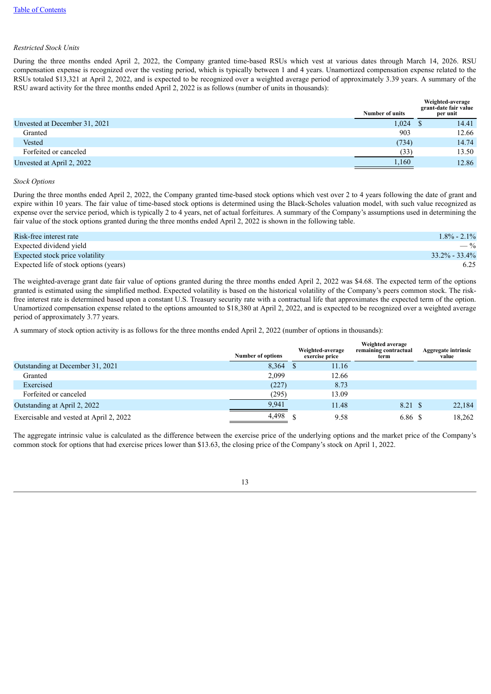#### *Restricted Stock Units*

During the three months ended April 2, 2022, the Company granted time-based RSUs which vest at various dates through March 14, 2026. RSU compensation expense is recognized over the vesting period, which is typically between 1 and 4 years. Unamortized compensation expense related to the RSUs totaled \$13,321 at April 2, 2022, and is expected to be recognized over a weighted average period of approximately 3.39 years. A summary of the RSU award activity for the three months ended April 2, 2022 is as follows (number of units in thousands):

|                               | Number of units | Weighted-average<br>grant-date fair value<br>per unit |
|-------------------------------|-----------------|-------------------------------------------------------|
| Unvested at December 31, 2021 | 1,024           | 14.41                                                 |
| Granted                       | 903             | 12.66                                                 |
| Vested                        | (734)           | 14.74                                                 |
| Forfeited or canceled         | (33)            | 13.50                                                 |
| Unvested at April 2, 2022     | 1,160           | 12.86                                                 |

#### *Stock Options*

During the three months ended April 2, 2022, the Company granted time-based stock options which vest over 2 to 4 years following the date of grant and expire within 10 years. The fair value of time-based stock options is determined using the Black-Scholes valuation model, with such value recognized as expense over the service period, which is typically 2 to 4 years, net of actual forfeitures. A summary of the Company's assumptions used in determining the fair value of the stock options granted during the three months ended April 2, 2022 is shown in the following table.

| Risk-free interest rate                | $1.8\% - 2.1\%$   |
|----------------------------------------|-------------------|
| Expected dividend yield                | $-$ %             |
| Expected stock price volatility        | $33.2\% - 33.4\%$ |
| Expected life of stock options (years) | 6.25              |

The weighted-average grant date fair value of options granted during the three months ended April 2, 2022 was \$4.68. The expected term of the options granted is estimated using the simplified method. Expected volatility is based on the historical volatility of the Company's peers common stock. The riskfree interest rate is determined based upon a constant U.S. Treasury security rate with a contractual life that approximates the expected term of the option. Unamortized compensation expense related to the options amounted to \$18,380 at April 2, 2022, and is expected to be recognized over a weighted average period of approximately 3.77 years.

A summary of stock option activity is as follows for the three months ended April 2, 2022 (number of options in thousands):

|                                         | Number of options |    | Weighted average<br>Weighted-average<br>remaining contractual<br>exercise price<br>term |                   | Aggregate intrinsic<br>value |
|-----------------------------------------|-------------------|----|-----------------------------------------------------------------------------------------|-------------------|------------------------------|
| Outstanding at December 31, 2021        | 8,364             | -8 | 11.16                                                                                   |                   |                              |
| Granted                                 | 2,099             |    | 12.66                                                                                   |                   |                              |
| Exercised                               | (227)             |    | 8.73                                                                                    |                   |                              |
| Forfeited or canceled                   | (295)             |    | 13.09                                                                                   |                   |                              |
| Outstanding at April 2, 2022            | 9.941             |    | 11.48                                                                                   | 8.21 \$           | 22,184                       |
| Exercisable and vested at April 2, 2022 | 4,498             |    | 9.58                                                                                    | 6.86 <sup>8</sup> | 18,262                       |

The aggregate intrinsic value is calculated as the difference between the exercise price of the underlying options and the market price of the Company's common stock for options that had exercise prices lower than \$13.63, the closing price of the Company's stock on April 1, 2022.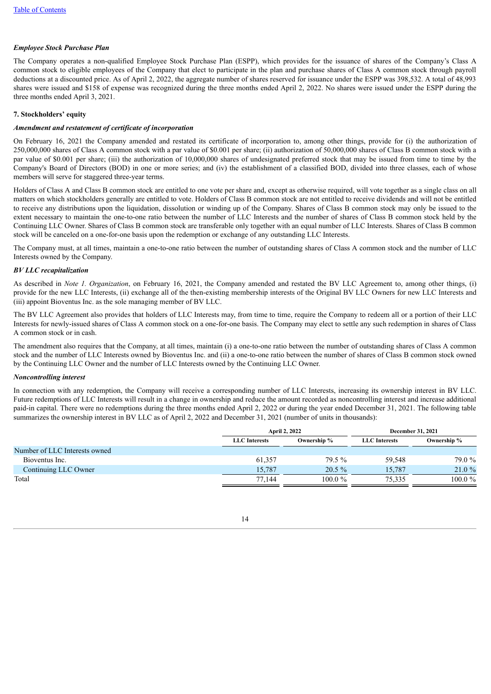#### *Employee Stock Purchase Plan*

The Company operates a non-qualified Employee Stock Purchase Plan (ESPP), which provides for the issuance of shares of the Company's Class A common stock to eligible employees of the Company that elect to participate in the plan and purchase shares of Class A common stock through payroll deductions at a discounted price. As of April 2, 2022, the aggregate number of shares reserved for issuance under the ESPP was 398,532. A total of 48,993 shares were issued and \$158 of expense was recognized during the three months ended April 2, 2022. No shares were issued under the ESPP during the three months ended April 3, 2021.

#### **7. Stockholders' equity**

#### *Amendment and restatement of certificate of incorporation*

On February 16, 2021 the Company amended and restated its certificate of incorporation to, among other things, provide for (i) the authorization of 250,000,000 shares of Class A common stock with a par value of \$0.001 per share; (ii) authorization of 50,000,000 shares of Class B common stock with a par value of \$0.001 per share; (iii) the authorization of 10,000,000 shares of undesignated preferred stock that may be issued from time to time by the Company's Board of Directors (BOD) in one or more series; and (iv) the establishment of a classified BOD, divided into three classes, each of whose members will serve for staggered three-year terms.

Holders of Class A and Class B common stock are entitled to one vote per share and, except as otherwise required, will vote together as a single class on all matters on which stockholders generally are entitled to vote. Holders of Class B common stock are not entitled to receive dividends and will not be entitled to receive any distributions upon the liquidation, dissolution or winding up of the Company. Shares of Class B common stock may only be issued to the extent necessary to maintain the one-to-one ratio between the number of LLC Interests and the number of shares of Class B common stock held by the Continuing LLC Owner. Shares of Class B common stock are transferable only together with an equal number of LLC Interests. Shares of Class B common stock will be canceled on a one-for-one basis upon the redemption or exchange of any outstanding LLC Interests.

The Company must, at all times, maintain a one-to-one ratio between the number of outstanding shares of Class A common stock and the number of LLC Interests owned by the Company.

#### *BV LLC recapitalization*

As described in *Note 1. Organization*, on February 16, 2021, the Company amended and restated the BV LLC Agreement to, among other things, (i) provide for the new LLC Interests, (ii) exchange all of the then-existing membership interests of the Original BV LLC Owners for new LLC Interests and (iii) appoint Bioventus Inc. as the sole managing member of BV LLC.

The BV LLC Agreement also provides that holders of LLC Interests may, from time to time, require the Company to redeem all or a portion of their LLC Interests for newly-issued shares of Class A common stock on a one-for-one basis. The Company may elect to settle any such redemption in shares of Class A common stock or in cash.

The amendment also requires that the Company, at all times, maintain (i) a one-to-one ratio between the number of outstanding shares of Class A common stock and the number of LLC Interests owned by Bioventus Inc. and (ii) a one-to-one ratio between the number of shares of Class B common stock owned by the Continuing LLC Owner and the number of LLC Interests owned by the Continuing LLC Owner.

#### *Noncontrolling interest*

In connection with any redemption, the Company will receive a corresponding number of LLC Interests, increasing its ownership interest in BV LLC. Future redemptions of LLC Interests will result in a change in ownership and reduce the amount recorded as noncontrolling interest and increase additional paid-in capital. There were no redemptions during the three months ended April 2, 2022 or during the year ended December 31, 2021. The following table summarizes the ownership interest in BV LLC as of April 2, 2022 and December 31, 2021 (number of units in thousands):

|                               |                      | <b>April 2, 2022</b> |                      | December 31, 2021 |
|-------------------------------|----------------------|----------------------|----------------------|-------------------|
|                               | <b>LLC</b> Interests | Ownership %          | <b>LLC</b> Interests | Ownership %       |
| Number of LLC Interests owned |                      |                      |                      |                   |
| Bioventus Inc.                | 61,357               | 79.5 %               | 59.548               | 79.0 %            |
| Continuing LLC Owner          | 15.787               | $20.5\%$             | 15.787               | $21.0 \%$         |
| Total                         | 77.144               | $100.0 \%$           | 75,335               | $100.0 \%$        |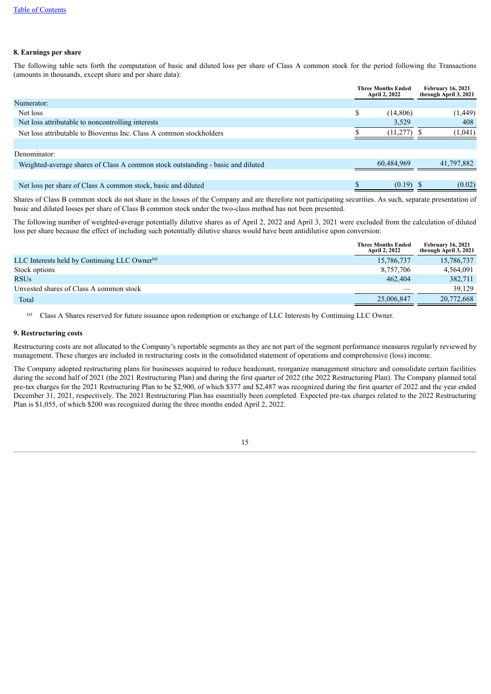#### **8. Earnings per share**

The following table sets forth the computation of basic and diluted loss per share of Class A common stock for the period following the Transactions (amounts in thousands, except share and per share data):

|                                                                                 | <b>Three Months Ended</b><br><b>April 2, 2022</b> |             | <b>February 16, 2021</b><br>through April 3, 2021 |
|---------------------------------------------------------------------------------|---------------------------------------------------|-------------|---------------------------------------------------|
| Numerator:                                                                      |                                                   |             |                                                   |
| Net loss                                                                        |                                                   | (14, 806)   | (1,449)                                           |
| Net loss attributable to noncontrolling interests                               |                                                   | 3,529       | 408                                               |
| Net loss attributable to Bioventus Inc. Class A common stockholders             |                                                   | (11, 277)   | (1,041)                                           |
|                                                                                 |                                                   |             |                                                   |
| Denominator:                                                                    |                                                   |             |                                                   |
| Weighted-average shares of Class A common stock outstanding - basic and diluted |                                                   | 60,484,969  | 41,797,882                                        |
|                                                                                 |                                                   |             |                                                   |
| Net loss per share of Class A common stock, basic and diluted                   |                                                   | $(0.19)$ \$ | (0.02)                                            |

Shares of Class B common stock do not share in the losses of the Company and are therefore not participating securities. As such, separate presentation of basic and diluted losses per share of Class B common stock under the two-class method has not been presented.

The following number of weighted-average potentially dilutive shares as of April 2, 2022 and April 3, 2021 were excluded from the calculation of diluted loss per share because the effect of including such potentially dilutive shares would have been antidilutive upon conversion:

|                                                           | <b>Three Months Ended</b><br><b>April 2, 2022</b> | <b>February 16, 2021</b><br>through April 3, 2021 |
|-----------------------------------------------------------|---------------------------------------------------|---------------------------------------------------|
| LLC Interests held by Continuing LLC Owner <sup>(a)</sup> | 15,786,737                                        | 15,786,737                                        |
| Stock options                                             | 8.757.706                                         | 4.564.091                                         |
| <b>RSUs</b>                                               | 462,404                                           | 382,711                                           |
| Unvested shares of Class A common stock                   |                                                   | 39.129                                            |
| Total                                                     | 25,006,847                                        | 20,772,668                                        |
|                                                           |                                                   |                                                   |

Class A Shares reserved for future issuance upon redemption or exchange of LLC Interests by Continuing LLC Owner. (a)

#### **9. Restructuring costs**

Restructuring costs are not allocated to the Company's reportable segments as they are not part of the segment performance measures regularly reviewed by management. These charges are included in restructuring costs in the consolidated statement of operations and comprehensive (loss) income.

The Company adopted restructuring plans for businesses acquired to reduce headcount, reorganize management structure and consolidate certain facilities during the second half of 2021 (the 2021 Restructuring Plan) and during the first quarter of 2022 (the 2022 Restructuring Plan). The Company planned total pre-tax charges for the 2021 Restructuring Plan to be \$2,900, of which \$377 and \$2,487 was recognized during the first quarter of 2022 and the year ended December 31, 2021, respectively. The 2021 Restructuring Plan has essentially been completed. Expected pre-tax charges related to the 2022 Restructuring Plan is \$1,055, of which \$200 was recognized during the three months ended April 2, 2022.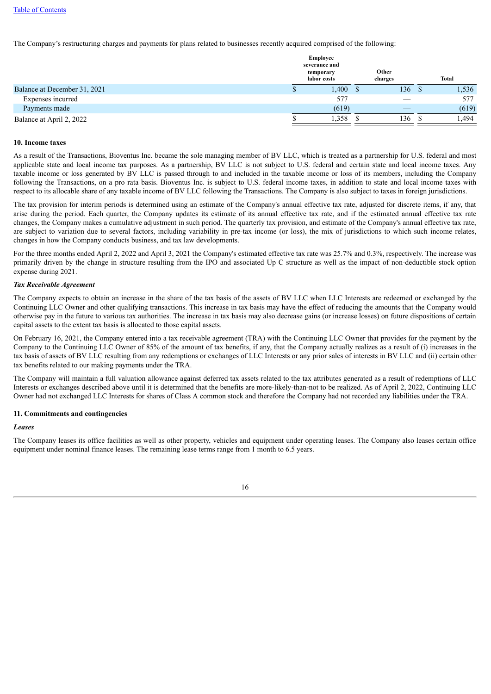The Company's restructuring charges and payments for plans related to businesses recently acquired comprised of the following:

|                              | <b>Employee</b><br>severance and<br>temporary<br>labor costs | Other<br>charges | <b>Total</b> |
|------------------------------|--------------------------------------------------------------|------------------|--------------|
| Balance at December 31, 2021 | 1,400                                                        | 136              | 1,536        |
| Expenses incurred            | 577                                                          |                  | 577          |
| Payments made                | (619)                                                        |                  | (619)        |
| Balance at April 2, 2022     | 1,358                                                        | 136              | .494         |
|                              |                                                              |                  |              |

#### **10. Income taxes**

As a result of the Transactions, Bioventus Inc. became the sole managing member of BV LLC, which is treated as a partnership for U.S. federal and most applicable state and local income tax purposes. As a partnership, BV LLC is not subject to U.S. federal and certain state and local income taxes. Any taxable income or loss generated by BV LLC is passed through to and included in the taxable income or loss of its members, including the Company following the Transactions, on a pro rata basis. Bioventus Inc. is subject to U.S. federal income taxes, in addition to state and local income taxes with respect to its allocable share of any taxable income of BV LLC following the Transactions. The Company is also subject to taxes in foreign jurisdictions.

The tax provision for interim periods is determined using an estimate of the Company's annual effective tax rate, adjusted for discrete items, if any, that arise during the period. Each quarter, the Company updates its estimate of its annual effective tax rate, and if the estimated annual effective tax rate changes, the Company makes a cumulative adjustment in such period. The quarterly tax provision, and estimate of the Company's annual effective tax rate, are subject to variation due to several factors, including variability in pre-tax income (or loss), the mix of jurisdictions to which such income relates, changes in how the Company conducts business, and tax law developments.

For the three months ended April 2, 2022 and April 3, 2021 the Company's estimated effective tax rate was 25.7% and 0.3%, respectively. The increase was primarily driven by the change in structure resulting from the IPO and associated Up C structure as well as the impact of non-deductible stock option expense during 2021.

#### *Tax Receivable Agreement*

The Company expects to obtain an increase in the share of the tax basis of the assets of BV LLC when LLC Interests are redeemed or exchanged by the Continuing LLC Owner and other qualifying transactions. This increase in tax basis may have the effect of reducing the amounts that the Company would otherwise pay in the future to various tax authorities. The increase in tax basis may also decrease gains (or increase losses) on future dispositions of certain capital assets to the extent tax basis is allocated to those capital assets.

On February 16, 2021, the Company entered into a tax receivable agreement (TRA) with the Continuing LLC Owner that provides for the payment by the Company to the Continuing LLC Owner of 85% of the amount of tax benefits, if any, that the Company actually realizes as a result of (i) increases in the tax basis of assets of BV LLC resulting from any redemptions or exchanges of LLC Interests or any prior sales of interests in BV LLC and (ii) certain other tax benefits related to our making payments under the TRA.

The Company will maintain a full valuation allowance against deferred tax assets related to the tax attributes generated as a result of redemptions of LLC Interests or exchanges described above until it is determined that the benefits are more-likely-than-not to be realized. As of April 2, 2022, Continuing LLC Owner had not exchanged LLC Interests for shares of Class A common stock and therefore the Company had not recorded any liabilities under the TRA.

#### **11. Commitments and contingencies**

#### *Leases*

The Company leases its office facilities as well as other property, vehicles and equipment under operating leases. The Company also leases certain office equipment under nominal finance leases. The remaining lease terms range from 1 month to 6.5 years.

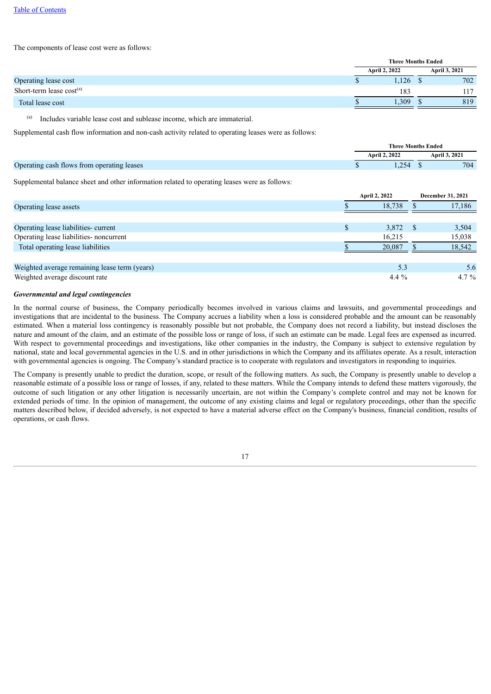#### The components of lease cost were as follows:

|                            | <b>Three Months Ended</b> |  |                      |
|----------------------------|---------------------------|--|----------------------|
|                            | <b>April 2, 2022</b>      |  | <b>April 3, 2021</b> |
| Operating lease cost       | .126                      |  | 702                  |
| Short-term lease $cost(a)$ | 183                       |  | 117                  |
| Total lease cost           | .309                      |  | 819                  |

Includes variable lease cost and sublease income, which are immaterial. (a)

Supplemental cash flow information and non-cash activity related to operating leases were as follows:

|                                            | <b>Three Months Ended</b> |                      |
|--------------------------------------------|---------------------------|----------------------|
|                                            | <b>April 2, 2022</b>      | <b>April 3, 2021</b> |
| Operating cash flows from operating leases | 1.254                     | 704                  |
|                                            |                           |                      |

Supplemental balance sheet and other information related to operating leases were as follows:

|                                               | <b>April 2, 2022</b> |      | December 31, 2021 |
|-----------------------------------------------|----------------------|------|-------------------|
| Operating lease assets                        | 18.738               |      | 17,186            |
|                                               |                      |      |                   |
| Operating lease liabilities- current          | 3,872                | - 55 | 3,504             |
| Operating lease liabilities- noncurrent       | 16.215               |      | 15,038            |
| Total operating lease liabilities             | 20,087               |      | 18,542            |
|                                               |                      |      |                   |
| Weighted average remaining lease term (years) | 5.3                  |      | 5.6               |
| Weighted average discount rate                | $4.4\%$              |      | $4.7\%$           |

#### *Governmental and legal contingencies*

In the normal course of business, the Company periodically becomes involved in various claims and lawsuits, and governmental proceedings and investigations that are incidental to the business. The Company accrues a liability when a loss is considered probable and the amount can be reasonably estimated. When a material loss contingency is reasonably possible but not probable, the Company does not record a liability, but instead discloses the nature and amount of the claim, and an estimate of the possible loss or range of loss, if such an estimate can be made. Legal fees are expensed as incurred. With respect to governmental proceedings and investigations, like other companies in the industry, the Company is subject to extensive regulation by national, state and local governmental agencies in the U.S. and in other jurisdictions in which the Company and its affiliates operate. As a result, interaction with governmental agencies is ongoing. The Company's standard practice is to cooperate with regulators and investigators in responding to inquiries.

The Company is presently unable to predict the duration, scope, or result of the following matters. As such, the Company is presently unable to develop a reasonable estimate of a possible loss or range of losses, if any, related to these matters. While the Company intends to defend these matters vigorously, the outcome of such litigation or any other litigation is necessarily uncertain, are not within the Company's complete control and may not be known for extended periods of time. In the opinion of management, the outcome of any existing claims and legal or regulatory proceedings, other than the specific matters described below, if decided adversely, is not expected to have a material adverse effect on the Company's business, financial condition, results of operations, or cash flows.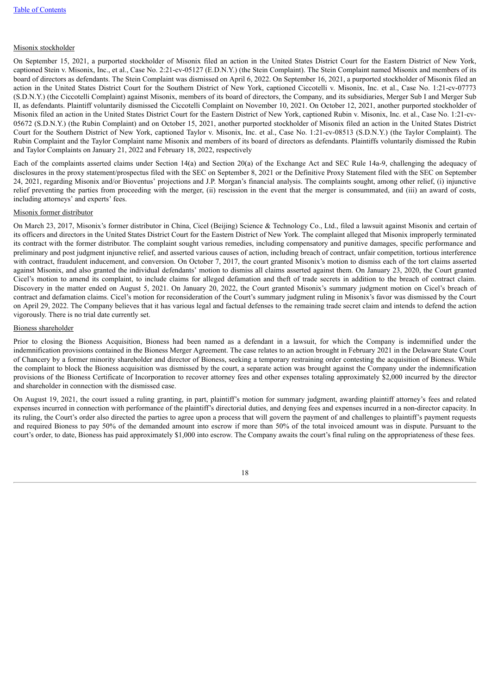#### Misonix stockholder

On September 15, 2021, a purported stockholder of Misonix filed an action in the United States District Court for the Eastern District of New York, captioned Stein v. Misonix, Inc., et al., Case No. 2:21-cv-05127 (E.D.N.Y.) (the Stein Complaint). The Stein Complaint named Misonix and members of its board of directors as defendants. The Stein Complaint was dismissed on April 6, 2022. On September 16, 2021, a purported stockholder of Misonix filed an action in the United States District Court for the Southern District of New York, captioned Ciccotelli v. Misonix, Inc. et al., Case No. 1:21-cv-07773 (S.D.N.Y.) (the Ciccotelli Complaint) against Misonix, members of its board of directors, the Company, and its subsidiaries, Merger Sub I and Merger Sub II, as defendants. Plaintiff voluntarily dismissed the Ciccotelli Complaint on November 10, 2021. On October 12, 2021, another purported stockholder of Misonix filed an action in the United States District Court for the Eastern District of New York, captioned Rubin v. Misonix, Inc. et al., Case No. 1:21-cv-05672 (S.D.N.Y.) (the Rubin Complaint) and on October 15, 2021, another purported stockholder of Misonix filed an action in the United States District Court for the Southern District of New York, captioned Taylor v. Misonix, Inc. et al., Case No. 1:21-cv-08513 (S.D.N.Y.) (the Taylor Complaint). The Rubin Complaint and the Taylor Complaint name Misonix and members of its board of directors as defendants. Plaintiffs voluntarily dismissed the Rubin and Taylor Complaints on January 21, 2022 and February 18, 2022, respectively

Each of the complaints asserted claims under Section 14(a) and Section 20(a) of the Exchange Act and SEC Rule 14a-9, challenging the adequacy of disclosures in the proxy statement/prospectus filed with the SEC on September 8, 2021 or the Definitive Proxy Statement filed with the SEC on September 24, 2021, regarding Misonix and/or Bioventus' projections and J.P. Morgan's financial analysis. The complaints sought, among other relief, (i) injunctive relief preventing the parties from proceeding with the merger, (ii) rescission in the event that the merger is consummated, and (iii) an award of costs, including attorneys' and experts' fees.

#### Misonix former distributor

On March 23, 2017, Misonix's former distributor in China, Cicel (Beijing) Science & Technology Co., Ltd., filed a lawsuit against Misonix and certain of its officers and directors in the United States District Court for the Eastern District of New York. The complaint alleged that Misonix improperly terminated its contract with the former distributor. The complaint sought various remedies, including compensatory and punitive damages, specific performance and preliminary and post judgment injunctive relief, and asserted various causes of action, including breach of contract, unfair competition, tortious interference with contract, fraudulent inducement, and conversion. On October 7, 2017, the court granted Misonix's motion to dismiss each of the tort claims asserted against Misonix, and also granted the individual defendants' motion to dismiss all claims asserted against them. On January 23, 2020, the Court granted Cicel's motion to amend its complaint, to include claims for alleged defamation and theft of trade secrets in addition to the breach of contract claim. Discovery in the matter ended on August 5, 2021. On January 20, 2022, the Court granted Misonix's summary judgment motion on Cicel's breach of contract and defamation claims. Cicel's motion for reconsideration of the Court's summary judgment ruling in Misonix's favor was dismissed by the Court on April 29, 2022. The Company believes that it has various legal and factual defenses to the remaining trade secret claim and intends to defend the action vigorously. There is no trial date currently set.

#### Bioness shareholder

Prior to closing the Bioness Acquisition, Bioness had been named as a defendant in a lawsuit, for which the Company is indemnified under the indemnification provisions contained in the Bioness Merger Agreement. The case relates to an action brought in February 2021 in the Delaware State Court of Chancery by a former minority shareholder and director of Bioness, seeking a temporary restraining order contesting the acquisition of Bioness. While the complaint to block the Bioness acquisition was dismissed by the court, a separate action was brought against the Company under the indemnification provisions of the Bioness Certificate of Incorporation to recover attorney fees and other expenses totaling approximately \$2,000 incurred by the director and shareholder in connection with the dismissed case.

On August 19, 2021, the court issued a ruling granting, in part, plaintiff's motion for summary judgment, awarding plaintiff attorney's fees and related expenses incurred in connection with performance of the plaintiff's directorial duties, and denying fees and expenses incurred in a non-director capacity. In its ruling, the Court's order also directed the parties to agree upon a process that will govern the payment of and challenges to plaintiff's payment requests and required Bioness to pay 50% of the demanded amount into escrow if more than 50% of the total invoiced amount was in dispute. Pursuant to the court's order, to date, Bioness has paid approximately \$1,000 into escrow. The Company awaits the court's final ruling on the appropriateness of these fees.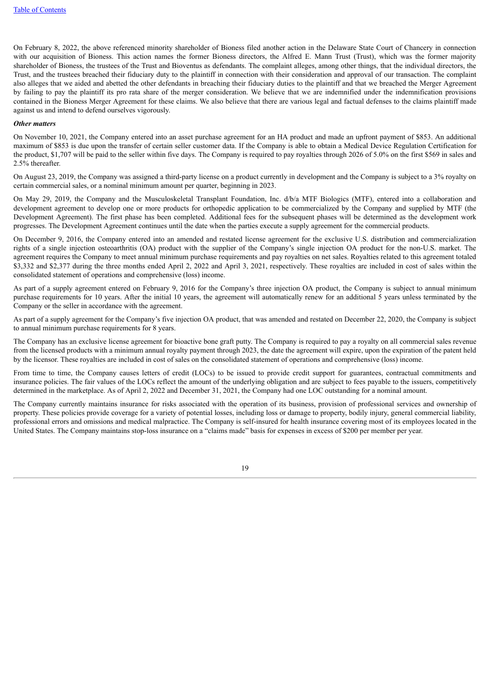On February 8, 2022, the above referenced minority shareholder of Bioness filed another action in the Delaware State Court of Chancery in connection with our acquisition of Bioness. This action names the former Bioness directors, the Alfred E. Mann Trust (Trust), which was the former majority shareholder of Bioness, the trustees of the Trust and Bioventus as defendants. The complaint alleges, among other things, that the individual directors, the Trust, and the trustees breached their fiduciary duty to the plaintiff in connection with their consideration and approval of our transaction. The complaint also alleges that we aided and abetted the other defendants in breaching their fiduciary duties to the plaintiff and that we breached the Merger Agreement by failing to pay the plaintiff its pro rata share of the merger consideration. We believe that we are indemnified under the indemnification provisions contained in the Bioness Merger Agreement for these claims. We also believe that there are various legal and factual defenses to the claims plaintiff made against us and intend to defend ourselves vigorously.

#### *Other matters*

On November 10, 2021, the Company entered into an asset purchase agreement for an HA product and made an upfront payment of \$853. An additional maximum of \$853 is due upon the transfer of certain seller customer data. If the Company is able to obtain a Medical Device Regulation Certification for the product, \$1,707 will be paid to the seller within five days. The Company is required to pay royalties through 2026 of 5.0% on the first \$569 in sales and 2.5% thereafter.

On August 23, 2019, the Company was assigned a third-party license on a product currently in development and the Company is subject to a 3% royalty on certain commercial sales, or a nominal minimum amount per quarter, beginning in 2023.

On May 29, 2019, the Company and the Musculoskeletal Transplant Foundation, Inc. d/b/a MTF Biologics (MTF), entered into a collaboration and development agreement to develop one or more products for orthopedic application to be commercialized by the Company and supplied by MTF (the Development Agreement). The first phase has been completed. Additional fees for the subsequent phases will be determined as the development work progresses. The Development Agreement continues until the date when the parties execute a supply agreement for the commercial products.

On December 9, 2016, the Company entered into an amended and restated license agreement for the exclusive U.S. distribution and commercialization rights of a single injection osteoarthritis (OA) product with the supplier of the Company's single injection OA product for the non-U.S. market. The agreement requires the Company to meet annual minimum purchase requirements and pay royalties on net sales. Royalties related to this agreement totaled \$3,332 and \$2,377 during the three months ended April 2, 2022 and April 3, 2021, respectively. These royalties are included in cost of sales within the consolidated statement of operations and comprehensive (loss) income.

As part of a supply agreement entered on February 9, 2016 for the Company's three injection OA product, the Company is subject to annual minimum purchase requirements for 10 years. After the initial 10 years, the agreement will automatically renew for an additional 5 years unless terminated by the Company or the seller in accordance with the agreement.

As part of a supply agreement for the Company's five injection OA product, that was amended and restated on December 22, 2020, the Company is subject to annual minimum purchase requirements for 8 years.

The Company has an exclusive license agreement for bioactive bone graft putty. The Company is required to pay a royalty on all commercial sales revenue from the licensed products with a minimum annual royalty payment through 2023, the date the agreement will expire, upon the expiration of the patent held by the licensor. These royalties are included in cost of sales on the consolidated statement of operations and comprehensive (loss) income.

From time to time, the Company causes letters of credit (LOCs) to be issued to provide credit support for guarantees, contractual commitments and insurance policies. The fair values of the LOCs reflect the amount of the underlying obligation and are subject to fees payable to the issuers, competitively determined in the marketplace. As of April 2, 2022 and December 31, 2021, the Company had one LOC outstanding for a nominal amount.

The Company currently maintains insurance for risks associated with the operation of its business, provision of professional services and ownership of property. These policies provide coverage for a variety of potential losses, including loss or damage to property, bodily injury, general commercial liability, professional errors and omissions and medical malpractice. The Company is self-insured for health insurance covering most of its employees located in the United States. The Company maintains stop-loss insurance on a "claims made" basis for expenses in excess of \$200 per member per year.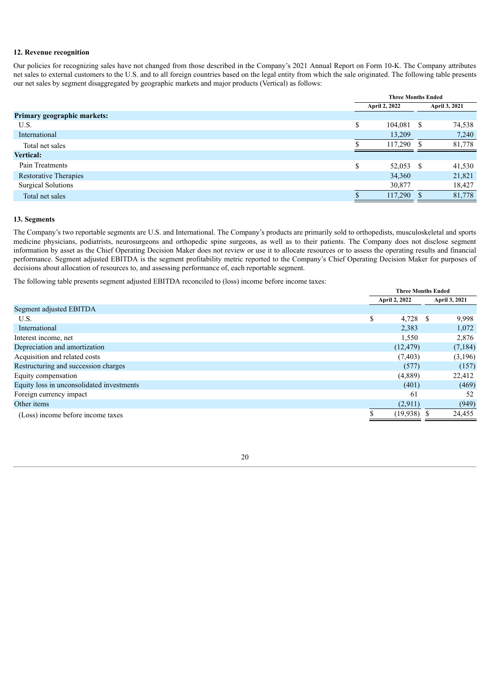# **12. Revenue recognition**

Our policies for recognizing sales have not changed from those described in the Company's 2021 Annual Report on Form 10-K. The Company attributes net sales to external customers to the U.S. and to all foreign countries based on the legal entity from which the sale originated. The following table presents our net sales by segment disaggregated by geographic markets and major products (Vertical) as follows:

|                             | <b>Three Months Ended</b> |               |          |               |
|-----------------------------|---------------------------|---------------|----------|---------------|
|                             |                           | April 2, 2022 |          | April 3, 2021 |
| Primary geographic markets: |                           |               |          |               |
| U.S.                        | S                         | 104,081 \$    |          | 74,538        |
| International               |                           | 13,209        |          | 7,240         |
| Total net sales             |                           | 117,290       |          | 81,778        |
| <b>Vertical:</b>            |                           |               |          |               |
| Pain Treatments             | S                         | $52,053$ \$   |          | 41,530        |
| Restorative Therapies       |                           | 34,360        |          | 21,821        |
| <b>Surgical Solutions</b>   |                           | 30,877        |          | 18,427        |
| Total net sales             |                           | 117,290       | $\sim$ S | 81,778        |
|                             |                           |               |          |               |

#### **13. Segments**

The Company's two reportable segments are U.S. and International. The Company's products are primarily sold to orthopedists, musculoskeletal and sports medicine physicians, podiatrists, neurosurgeons and orthopedic spine surgeons, as well as to their patients. The Company does not disclose segment information by asset as the Chief Operating Decision Maker does not review or use it to allocate resources or to assess the operating results and financial performance. Segment adjusted EBITDA is the segment profitability metric reported to the Company's Chief Operating Decision Maker for purposes of decisions about allocation of resources to, and assessing performance of, each reportable segment.

The following table presents segment adjusted EBITDA reconciled to (loss) income before income taxes:

<span id="page-23-0"></span>

|                                           | <b>Three Months Ended</b> |               |  |               |
|-------------------------------------------|---------------------------|---------------|--|---------------|
|                                           |                           | April 2, 2022 |  | April 3, 2021 |
| Segment adjusted EBITDA                   |                           |               |  |               |
| U.S.                                      | \$                        | $4,728$ \$    |  | 9,998         |
| International                             |                           | 2,383         |  | 1,072         |
| Interest income, net                      |                           | 1,550         |  | 2,876         |
| Depreciation and amortization             |                           | (12, 479)     |  | (7,184)       |
| Acquisition and related costs             |                           | (7, 403)      |  | (3,196)       |
| Restructuring and succession charges      |                           | (577)         |  | (157)         |
| Equity compensation                       |                           | (4,889)       |  | 22,412        |
| Equity loss in unconsolidated investments |                           | (401)         |  | (469)         |
| Foreign currency impact                   |                           | -61           |  | 52            |
| Other items                               |                           | (2,911)       |  | (949)         |
| (Loss) income before income taxes         |                           | $(19,938)$ \$ |  | 24,455        |

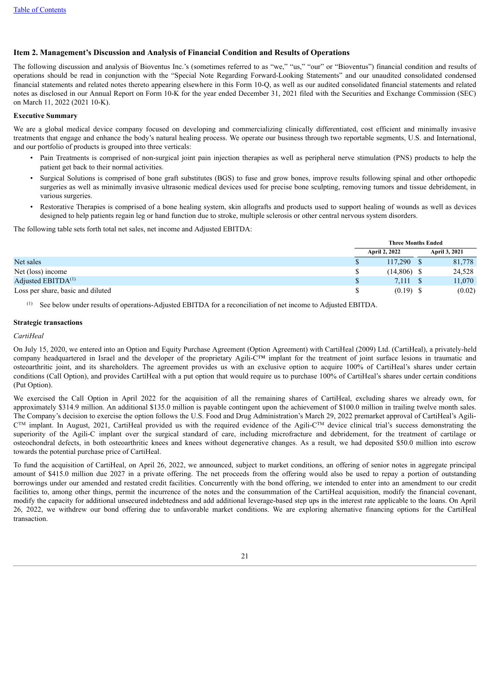# **Item 2. Management's Discussion and Analysis of Financial Condition and Results of Operations**

The following discussion and analysis of Bioventus Inc.'s (sometimes referred to as "we," "us," "our" or "Bioventus") financial condition and results of operations should be read in conjunction with the "Special Note Regarding Forward-Looking Statements" and our unaudited consolidated condensed financial statements and related notes thereto appearing elsewhere in this Form 10-Q, as well as our audited consolidated financial statements and related notes as disclosed in our Annual Report on Form 10-K for the year ended December 31, 2021 filed with the Securities and Exchange Commission (SEC) on March 11, 2022 (2021 10-K).

### **Executive Summary**

We are a global medical device company focused on developing and commercializing clinically differentiated, cost efficient and minimally invasive treatments that engage and enhance the body's natural healing process. We operate our business through two reportable segments, U.S. and International, and our portfolio of products is grouped into three verticals:

- Pain Treatments is comprised of non-surgical joint pain injection therapies as well as peripheral nerve stimulation (PNS) products to help the patient get back to their normal activities.
- Surgical Solutions is comprised of bone graft substitutes (BGS) to fuse and grow bones, improve results following spinal and other orthopedic surgeries as well as minimally invasive ultrasonic medical devices used for precise bone sculpting, removing tumors and tissue debridement, in various surgeries.
- Restorative Therapies is comprised of a bone healing system, skin allografts and products used to support healing of wounds as well as devices designed to help patients regain leg or hand function due to stroke, multiple sclerosis or other central nervous system disorders.

The following table sets forth total net sales, net income and Adjusted EBITDA:

|                                   | <b>Three Months Ended</b> |                      |  |                      |
|-----------------------------------|---------------------------|----------------------|--|----------------------|
|                                   |                           | <b>April 2, 2022</b> |  | <b>April 3, 2021</b> |
| Net sales                         |                           | 117.290              |  | 81,778               |
| Net (loss) income                 |                           | $(14,806)$ \$        |  | 24,528               |
| Adjusted EBITDA <sup>(1)</sup>    |                           | 7,111                |  | 11,070               |
| Loss per share, basic and diluted |                           | $(0.19)$ \$          |  | (0.02)               |

 $<sup>(1)</sup>$  See below under results of operations-Adjusted EBITDA for a reconciliation of net income to Adjusted EBITDA.</sup>

#### **Strategic transactions**

#### *CartiHeal*

On July 15, 2020, we entered into an Option and Equity Purchase Agreement (Option Agreement) with CartiHeal (2009) Ltd. (CartiHeal), a privately-held company headquartered in Israel and the developer of the proprietary Agili-C™ implant for the treatment of joint surface lesions in traumatic and osteoarthritic joint, and its shareholders. The agreement provides us with an exclusive option to acquire 100% of CartiHeal's shares under certain conditions (Call Option), and provides CartiHeal with a put option that would require us to purchase 100% of CartiHeal's shares under certain conditions (Put Option).

We exercised the Call Option in April 2022 for the acquisition of all the remaining shares of CartiHeal, excluding shares we already own, for approximately \$314.9 million. An additional \$135.0 million is payable contingent upon the achievement of \$100.0 million in trailing twelve month sales. The Company's decision to exercise the option follows the U.S. Food and Drug Administration's March 29, 2022 premarket approval of CartiHeal's Agili- $C^{TM}$  implant. In August, 2021, CartiHeal provided us with the required evidence of the Agili-C<sup>TM</sup> device clinical trial's success demonstrating the superiority of the Agili-C implant over the surgical standard of care, including microfracture and debridement, for the treatment of cartilage or osteochondral defects, in both osteoarthritic knees and knees without degenerative changes. As a result, we had deposited \$50.0 million into escrow towards the potential purchase price of CartiHeal.

To fund the acquisition of CartiHeal, on April 26, 2022, we announced, subject to market conditions, an offering of senior notes in aggregate principal amount of \$415.0 million due 2027 in a private offering. The net proceeds from the offering would also be used to repay a portion of outstanding borrowings under our amended and restated credit facilities. Concurrently with the bond offering, we intended to enter into an amendment to our credit facilities to, among other things, permit the incurrence of the notes and the consummation of the CartiHeal acquisition, modify the financial covenant, modify the capacity for additional unsecured indebtedness and add additional leverage-based step ups in the interest rate applicable to the loans. On April 26, 2022, we withdrew our bond offering due to unfavorable market conditions. We are exploring alternative financing options for the CartiHeal transaction.

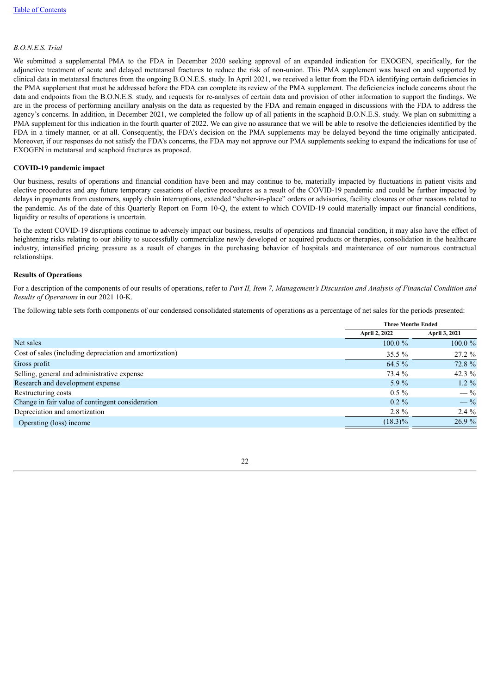#### *B.O.N.E.S. Trial*

We submitted a supplemental PMA to the FDA in December 2020 seeking approval of an expanded indication for EXOGEN, specifically, for the adjunctive treatment of acute and delayed metatarsal fractures to reduce the risk of non-union. This PMA supplement was based on and supported by clinical data in metatarsal fractures from the ongoing B.O.N.E.S. study. In April 2021, we received a letter from the FDA identifying certain deficiencies in the PMA supplement that must be addressed before the FDA can complete its review of the PMA supplement. The deficiencies include concerns about the data and endpoints from the B.O.N.E.S. study, and requests for re-analyses of certain data and provision of other information to support the findings. We are in the process of performing ancillary analysis on the data as requested by the FDA and remain engaged in discussions with the FDA to address the agency's concerns. In addition, in December 2021, we completed the follow up of all patients in the scaphoid B.O.N.E.S. study. We plan on submitting a PMA supplement for this indication in the fourth quarter of 2022. We can give no assurance that we will be able to resolve the deficiencies identified by the FDA in a timely manner, or at all. Consequently, the FDA's decision on the PMA supplements may be delayed beyond the time originally anticipated. Moreover, if our responses do not satisfy the FDA's concerns, the FDA may not approve our PMA supplements seeking to expand the indications for use of EXOGEN in metatarsal and scaphoid fractures as proposed.

#### **COVID-19 pandemic impact**

Our business, results of operations and financial condition have been and may continue to be, materially impacted by fluctuations in patient visits and elective procedures and any future temporary cessations of elective procedures as a result of the COVID-19 pandemic and could be further impacted by delays in payments from customers, supply chain interruptions, extended "shelter-in-place" orders or advisories, facility closures or other reasons related to the pandemic. As of the date of this Quarterly Report on Form 10-Q, the extent to which COVID-19 could materially impact our financial conditions, liquidity or results of operations is uncertain.

To the extent COVID-19 disruptions continue to adversely impact our business, results of operations and financial condition, it may also have the effect of heightening risks relating to our ability to successfully commercialize newly developed or acquired products or therapies, consolidation in the healthcare industry, intensified pricing pressure as a result of changes in the purchasing behavior of hospitals and maintenance of our numerous contractual relationships.

#### **Results of Operations**

For a description of the components of our results of operations, refer to Part II, Item 7, Management's Discussion and Analysis of Financial Condition and *Results of Operations* in our 2021 10-K.

The following table sets forth components of our condensed consolidated statements of operations as a percentage of net sales for the periods presented:

|                                                         | <b>Three Months Ended</b> |               |  |
|---------------------------------------------------------|---------------------------|---------------|--|
|                                                         | April 2, 2022             | April 3, 2021 |  |
| Net sales                                               | $100.0 \%$                | $100.0 \%$    |  |
| Cost of sales (including depreciation and amortization) | $35.5 \%$                 | $27.2 \%$     |  |
| Gross profit                                            | $64.5\%$                  | 72.8 %        |  |
| Selling, general and administrative expense             | 73.4 %                    | 42.3 $%$      |  |
| Research and development expense                        | $5.9\%$                   | $1.2\%$       |  |
| Restructuring costs                                     | $0.5 \%$                  | $-$ %         |  |
| Change in fair value of contingent consideration        | $0.2 \%$                  | $-$ %         |  |
| Depreciation and amortization                           | $2.8 \%$                  | $2.4\%$       |  |
| Operating (loss) income                                 | $(18.3)\%$                | 26.9%         |  |

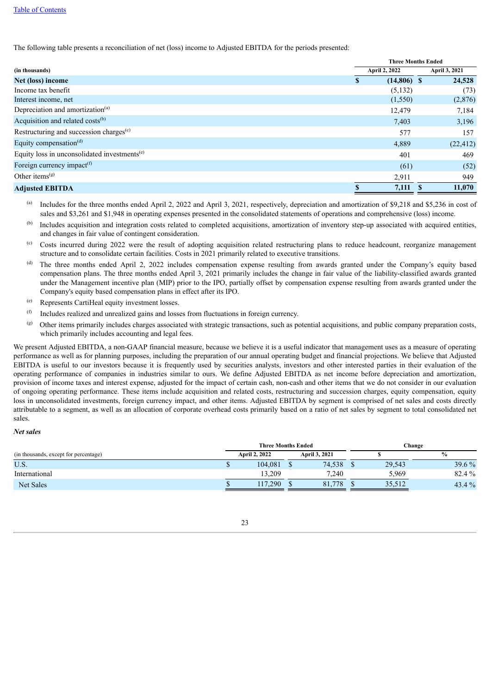The following table presents a reconciliation of net (loss) income to Adjusted EBITDA for the periods presented:

|                                                          |                      | <b>Three Months Ended</b> |               |  |
|----------------------------------------------------------|----------------------|---------------------------|---------------|--|
| (in thousands)                                           | <b>April 2, 2022</b> |                           | April 3, 2021 |  |
| Net (loss) income                                        | S                    | $(14,806)$ \$             | 24,528        |  |
| Income tax benefit                                       |                      | (5,132)                   | (73)          |  |
| Interest income, net                                     |                      | (1,550)                   | (2,876)       |  |
| Depreciation and amortization <sup>(a)</sup>             |                      | 12,479                    | 7,184         |  |
| Acquisition and related costs <sup>(b)</sup>             |                      | 7,403                     | 3,196         |  |
| Restructuring and succession charges <sup>(c)</sup>      |                      | 577                       | 157           |  |
| Equity compensation $(d)$                                |                      | 4,889                     | (22, 412)     |  |
| Equity loss in unconsolidated investments <sup>(e)</sup> |                      | 401                       | 469           |  |
| Foreign currency impact <sup>(f)</sup>                   |                      | (61)                      | (52)          |  |
| Other items $(g)$                                        |                      | 2,911                     | 949           |  |
| <b>Adjusted EBITDA</b>                                   |                      | 7,111<br>-8               | 11.070        |  |

Includes for the three months ended April 2, 2022 and April 3, 2021, respectively, depreciation and amortization of \$9,218 and \$5,236 in cost of sales and \$3,261 and \$1,948 in operating expenses presented in the consolidated statements of operations and comprehensive (loss) income. (a)

- Includes acquisition and integration costs related to completed acquisitions, amortization of inventory step-up associated with acquired entities, and changes in fair value of contingent consideration. (b)
- Costs incurred during 2022 were the result of adopting acquisition related restructuring plans to reduce headcount, reorganize management structure and to consolidate certain facilities. Costs in 2021 primarily related to executive transitions. (c)
- The three months ended April 2, 2022 includes compensation expense resulting from awards granted under the Company's equity based compensation plans. The three months ended April 3, 2021 primarily includes the change in fair value of the liability-classified awards granted under the Management incentive plan (MIP) prior to the IPO, partially offset by compensation expense resulting from awards granted under the Company's equity based compensation plans in effect after its IPO. (d)
- Represents CartiHeal equity investment losses. (e)
- Includes realized and unrealized gains and losses from fluctuations in foreign currency. (f)
- Other items primarily includes charges associated with strategic transactions, such as potential acquisitions, and public company preparation costs, which primarily includes accounting and legal fees. (g)

We present Adjusted EBITDA, a non-GAAP financial measure, because we believe it is a useful indicator that management uses as a measure of operating performance as well as for planning purposes, including the preparation of our annual operating budget and financial projections. We believe that Adjusted EBITDA is useful to our investors because it is frequently used by securities analysts, investors and other interested parties in their evaluation of the operating performance of companies in industries similar to ours. We define Adjusted EBITDA as net income before depreciation and amortization, provision of income taxes and interest expense, adjusted for the impact of certain cash, non-cash and other items that we do not consider in our evaluation of ongoing operating performance. These items include acquisition and related costs, restructuring and succession charges, equity compensation, equity loss in unconsolidated investments, foreign currency impact, and other items. Adjusted EBITDA by segment is comprised of net sales and costs directly attributable to a segment, as well as an allocation of corporate overhead costs primarily based on a ratio of net sales by segment to total consolidated net sales.

#### *Net sales*

|                                       |  | <b>Three Months Ended</b> |  |                      | Change |        |          |
|---------------------------------------|--|---------------------------|--|----------------------|--------|--------|----------|
| (in thousands, except for percentage) |  | <b>April 2, 2022</b>      |  | <b>April 3, 2021</b> |        |        | $\%$     |
| U.S.                                  |  | 104.081                   |  | 74,538               |        | 29,543 | $39.6\%$ |
| International                         |  | 13,209                    |  | 7.240                |        | 5,969  | 82.4 %   |
| Net Sales                             |  | 117.290                   |  | 81.<br>778           |        | 35,512 | 43.4 %   |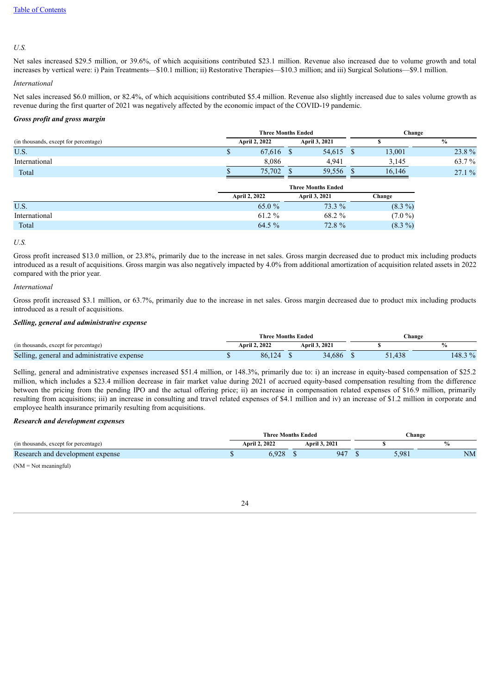# *U.S.*

Net sales increased \$29.5 million, or 39.6%, of which acquisitions contributed \$23.1 million. Revenue also increased due to volume growth and total increases by vertical were: i) Pain Treatments—\$10.1 million; ii) Restorative Therapies—\$10.3 million; and iii) Surgical Solutions—\$9.1 million.

### *International*

Net sales increased \$6.0 million, or 82.4%, of which acquisitions contributed \$5.4 million. Revenue also slightly increased due to sales volume growth as revenue during the first quarter of 2021 was negatively affected by the economic impact of the COVID-19 pandemic.

# *Gross profit and gross margin*

|                                       |                      | <b>Three Months Ended</b> |               |               | Change |           |               |  |
|---------------------------------------|----------------------|---------------------------|---------------|---------------|--------|-----------|---------------|--|
| (in thousands, except for percentage) | <b>April 2, 2022</b> |                           | April 3, 2021 |               |        |           | $\frac{0}{0}$ |  |
| U.S.                                  |                      | 67,616 \$                 |               | 54,615        | - \$   | 13,001    | 23.8%         |  |
| International                         |                      | 8,086                     |               | 4,941         |        | 3,145     | 63.7%         |  |
| Total                                 |                      | 75,702 \$                 |               | 59,556        |        | 16,146    | 27.1%         |  |
|                                       |                      |                           |               |               |        |           |               |  |
|                                       |                      | <b>April 2, 2022</b>      |               | April 3, 2021 |        | Change    |               |  |
| U.S.                                  |                      | 65.0 %                    |               | 73.3 %        |        | $(8.3\%)$ |               |  |
| International                         |                      | 61.2 %                    |               | 68.2 %        |        | $(7.0\%)$ |               |  |
| Total                                 |                      | 64.5 $%$                  |               | 72.8%         |        | $(8.3\%)$ |               |  |

*U.S.*

Gross profit increased \$13.0 million, or 23.8%, primarily due to the increase in net sales. Gross margin decreased due to product mix including products introduced as a result of acquisitions. Gross margin was also negatively impacted by 4.0% from additional amortization of acquisition related assets in 2022 compared with the prior year.

#### *International*

Gross profit increased \$3.1 million, or 63.7%, primarily due to the increase in net sales. Gross margin decreased due to product mix including products introduced as a result of acquisitions.

# *Selling, general and administrative expense*

|                                              |  | <b>Three Months Ended</b> |               |        | Change |        |                |  |
|----------------------------------------------|--|---------------------------|---------------|--------|--------|--------|----------------|--|
| (in thousands.)<br>s, except for percentage) |  | April 2, 2022             | April 3, 2021 |        |        |        |                |  |
| Selling, general and administrative expense  |  | 86.                       |               | 34,686 |        | 51.438 | $3\%$<br>148.5 |  |

Selling, general and administrative expenses increased \$51.4 million, or 148.3%, primarily due to: i) an increase in equity-based compensation of \$25.2 million, which includes a \$23.4 million decrease in fair market value during 2021 of accrued equity-based compensation resulting from the difference between the pricing from the pending IPO and the actual offering price; ii) an increase in compensation related expenses of \$16.9 million, primarily resulting from acquisitions; iii) an increase in consulting and travel related expenses of \$4.1 million and iv) an increase of \$1.2 million in corporate and employee health insurance primarily resulting from acquisitions.

# *Research and development expenses*

|                                             | <b>Three Months Ended</b> |               | <b>Change</b> |       |      |
|---------------------------------------------|---------------------------|---------------|---------------|-------|------|
| (in thousands.)<br>, except for percentage) | <b>April 2, 2022</b>      | April 3, 2021 |               |       | $\%$ |
| Research and development expense            | 5.928                     | 947           |               | 5,981 | NM   |

 $(NM = Not meaningful)$ 

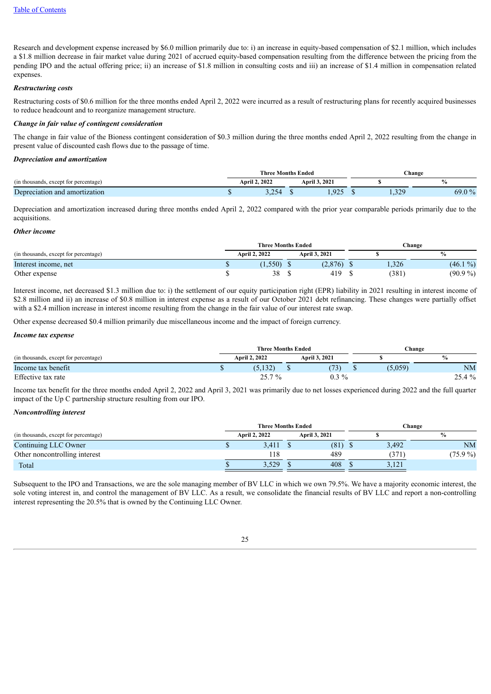Research and development expense increased by \$6.0 million primarily due to: i) an increase in equity-based compensation of \$2.1 million, which includes a \$1.8 million decrease in fair market value during 2021 of accrued equity-based compensation resulting from the difference between the pricing from the pending IPO and the actual offering price; ii) an increase of \$1.8 million in consulting costs and iii) an increase of \$1.4 million in compensation related expenses.

#### *Restructuring costs*

Restructuring costs of \$0.6 million for the three months ended April 2, 2022 were incurred as a result of restructuring plans for recently acquired businesses to reduce headcount and to reorganize management structure.

#### *Change in fair value of contingent consideration*

The change in fair value of the Bioness contingent consideration of \$0.3 million during the three months ended April 2, 2022 resulting from the change in present value of discounted cash flows due to the passage of time.

#### *Depreciation and amortization*

|                                            | <b>Three Months Ended</b> |                   | Change          |          |  |  |
|--------------------------------------------|---------------------------|-------------------|-----------------|----------|--|--|
| (in thousands,<br>, except for percentage) | April 2, 2022             | April 3, 2021     |                 |          |  |  |
| Depreciation and amortization              | 2251<br>ر ہے ۔            | ، ص<br>$\sim 145$ | 220<br>∶ ∠ ل. ا | 69.0 $%$ |  |  |

Depreciation and amortization increased during three months ended April 2, 2022 compared with the prior year comparable periods primarily due to the acquisitions.

#### *Other income*

|                                       | <b>Three Months Ended</b> |                      | Change |       |               |  |
|---------------------------------------|---------------------------|----------------------|--------|-------|---------------|--|
| (in thousands, except for percentage) | <b>April 2, 2022</b>      | <b>April 3, 2021</b> |        |       | $\frac{0}{0}$ |  |
| Interest income, net                  | (1.550)                   | (2,876)              |        | 1,326 | $(46.1\%)$    |  |
| Other expense                         | 38                        | 419                  |        | 381   | $(90.9\%)$    |  |

Interest income, net decreased \$1.3 million due to: i) the settlement of our equity participation right (EPR) liability in 2021 resulting in interest income of \$2.8 million and ii) an increase of \$0.8 million in interest expense as a result of our October 2021 debt refinancing. These changes were partially offset with a \$2.4 million increase in interest income resulting from the change in the fair value of our interest rate swap.

Other expense decreased \$0.4 million primarily due miscellaneous income and the impact of foreign currency.

#### *Income tax expense*

|                                       | <b>Three Months Ended</b> |  |                      | Change |         |               |  |
|---------------------------------------|---------------------------|--|----------------------|--------|---------|---------------|--|
| (in thousands, except for percentage) | <b>April 2, 2022</b>      |  | <b>April 3, 2021</b> |        |         | $\frac{9}{6}$ |  |
| Income tax benefit                    | (5.132)                   |  | (73)                 |        | (5,059) | NM            |  |
| Effective tax rate                    | 25.7 %                    |  | $0.3\%$              |        |         | $25.4 \%$     |  |

Income tax benefit for the three months ended April 2, 2022 and April 3, 2021 was primarily due to net losses experienced during 2022 and the full quarter impact of the Up C partnership structure resulting from our IPO.

#### *Noncontrolling interest*

|                                       | <b>Three Months Ended</b> |  | Change               |  |       |            |
|---------------------------------------|---------------------------|--|----------------------|--|-------|------------|
| (in thousands, except for percentage) | <b>April 2, 2022</b>      |  | <b>April 3, 2021</b> |  |       |            |
| Continuing LLC Owner                  | 3.411                     |  | (81)                 |  | 3,492 | <b>NM</b>  |
| Other noncontrolling interest         | 118                       |  | 489                  |  | 371)  | $(75.9\%)$ |
| Total                                 | 3,529                     |  | 408                  |  | 3,121 |            |

Subsequent to the IPO and Transactions, we are the sole managing member of BV LLC in which we own 79.5%. We have a majority economic interest, the sole voting interest in, and control the management of BV LLC. As a result, we consolidate the financial results of BV LLC and report a non-controlling interest representing the 20.5% that is owned by the Continuing LLC Owner.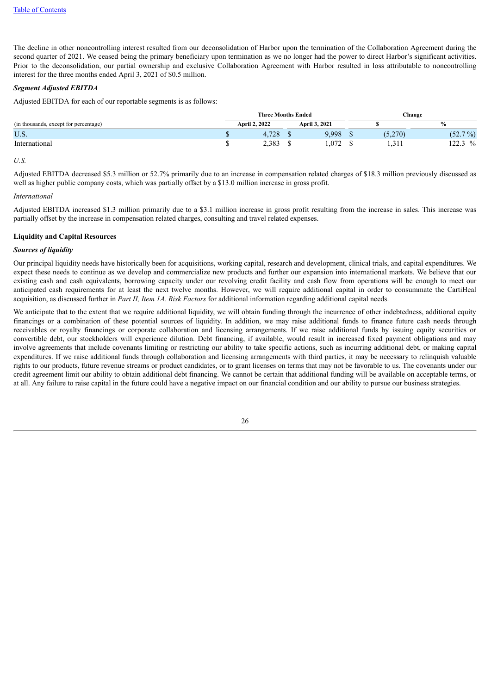The decline in other noncontrolling interest resulted from our deconsolidation of Harbor upon the termination of the Collaboration Agreement during the second quarter of 2021. We ceased being the primary beneficiary upon termination as we no longer had the power to direct Harbor's significant activities. Prior to the deconsolidation, our partial ownership and exclusive Collaboration Agreement with Harbor resulted in loss attributable to noncontrolling interest for the three months ended April 3, 2021 of \$0.5 million.

# *Segment Adjusted EBITDA*

Adjusted EBITDA for each of our reportable segments is as follows:

|                                       |               | <b>Three Months Ended</b> |               | <b>Change</b> |                |                 |  |
|---------------------------------------|---------------|---------------------------|---------------|---------------|----------------|-----------------|--|
| (in thousands, except for percentage) | April 2, 2022 |                           | April 3, 2021 |               |                |                 |  |
| U.S.                                  |               | 4.728                     | 9.998         |               | (5,270)        | $(52.7\%)$      |  |
| International                         |               | 2,383                     | 1,072         |               | $-211$<br>1.71 | $.3\frac{9}{6}$ |  |

#### *U.S.*

Adjusted EBITDA decreased \$5.3 million or 52.7% primarily due to an increase in compensation related charges of \$18.3 million previously discussed as well as higher public company costs, which was partially offset by a \$13.0 million increase in gross profit.

#### *International*

Adjusted EBITDA increased \$1.3 million primarily due to a \$3.1 million increase in gross profit resulting from the increase in sales. This increase was partially offset by the increase in compensation related charges, consulting and travel related expenses.

#### **Liquidity and Capital Resources**

#### *Sources of liquidity*

Our principal liquidity needs have historically been for acquisitions, working capital, research and development, clinical trials, and capital expenditures. We expect these needs to continue as we develop and commercialize new products and further our expansion into international markets. We believe that our existing cash and cash equivalents, borrowing capacity under our revolving credit facility and cash flow from operations will be enough to meet our anticipated cash requirements for at least the next twelve months. However, we will require additional capital in order to consummate the CartiHeal acquisition, as discussed further in *Part II, Item 1A. Risk Factors* for additional information regarding additional capital needs.

We anticipate that to the extent that we require additional liquidity, we will obtain funding through the incurrence of other indebtedness, additional equity financings or a combination of these potential sources of liquidity. In addition, we may raise additional funds to finance future cash needs through receivables or royalty financings or corporate collaboration and licensing arrangements. If we raise additional funds by issuing equity securities or convertible debt, our stockholders will experience dilution. Debt financing, if available, would result in increased fixed payment obligations and may involve agreements that include covenants limiting or restricting our ability to take specific actions, such as incurring additional debt, or making capital expenditures. If we raise additional funds through collaboration and licensing arrangements with third parties, it may be necessary to relinquish valuable rights to our products, future revenue streams or product candidates, or to grant licenses on terms that may not be favorable to us. The covenants under our credit agreement limit our ability to obtain additional debt financing. We cannot be certain that additional funding will be available on acceptable terms, or at all. Any failure to raise capital in the future could have a negative impact on our financial condition and our ability to pursue our business strategies.

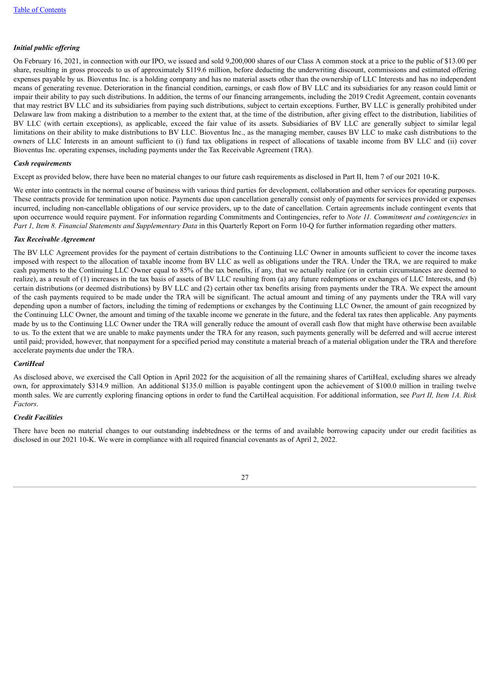### *Initial public of ering*

On February 16, 2021, in connection with our IPO, we issued and sold 9,200,000 shares of our Class A common stock at a price to the public of \$13.00 per share, resulting in gross proceeds to us of approximately \$119.6 million, before deducting the underwriting discount, commissions and estimated offering expenses payable by us. Bioventus Inc. is a holding company and has no material assets other than the ownership of LLC Interests and has no independent means of generating revenue. Deterioration in the financial condition, earnings, or cash flow of BV LLC and its subsidiaries for any reason could limit or impair their ability to pay such distributions. In addition, the terms of our financing arrangements, including the 2019 Credit Agreement, contain covenants that may restrict BV LLC and its subsidiaries from paying such distributions, subject to certain exceptions. Further, BV LLC is generally prohibited under Delaware law from making a distribution to a member to the extent that, at the time of the distribution, after giving effect to the distribution, liabilities of BV LLC (with certain exceptions), as applicable, exceed the fair value of its assets. Subsidiaries of BV LLC are generally subject to similar legal limitations on their ability to make distributions to BV LLC. Bioventus Inc., as the managing member, causes BV LLC to make cash distributions to the owners of LLC Interests in an amount sufficient to (i) fund tax obligations in respect of allocations of taxable income from BV LLC and (ii) cover Bioventus Inc. operating expenses, including payments under the Tax Receivable Agreement (TRA).

#### *Cash requirements*

Except as provided below, there have been no material changes to our future cash requirements as disclosed in Part II, Item 7 of our 2021 10-K.

We enter into contracts in the normal course of business with various third parties for development, collaboration and other services for operating purposes. These contracts provide for termination upon notice. Payments due upon cancellation generally consist only of payments for services provided or expenses incurred, including non-cancellable obligations of our service providers, up to the date of cancellation. Certain agreements include contingent events that upon occurrence would require payment. For information regarding Commitments and Contingencies, refer to *Note 11. Commitment and contingencies* in *Part 1, Item 8. Financial Statements and Supplementary Data* in this Quarterly Report on Form 10-Q for further information regarding other matters.

#### *Tax Receivable Agreement*

The BV LLC Agreement provides for the payment of certain distributions to the Continuing LLC Owner in amounts sufficient to cover the income taxes imposed with respect to the allocation of taxable income from BV LLC as well as obligations under the TRA. Under the TRA, we are required to make cash payments to the Continuing LLC Owner equal to 85% of the tax benefits, if any, that we actually realize (or in certain circumstances are deemed to realize), as a result of (1) increases in the tax basis of assets of BV LLC resulting from (a) any future redemptions or exchanges of LLC Interests, and (b) certain distributions (or deemed distributions) by BV LLC and (2) certain other tax benefits arising from payments under the TRA. We expect the amount of the cash payments required to be made under the TRA will be significant. The actual amount and timing of any payments under the TRA will vary depending upon a number of factors, including the timing of redemptions or exchanges by the Continuing LLC Owner, the amount of gain recognized by the Continuing LLC Owner, the amount and timing of the taxable income we generate in the future, and the federal tax rates then applicable. Any payments made by us to the Continuing LLC Owner under the TRA will generally reduce the amount of overall cash flow that might have otherwise been available to us. To the extent that we are unable to make payments under the TRA for any reason, such payments generally will be deferred and will accrue interest until paid; provided, however, that nonpayment for a specified period may constitute a material breach of a material obligation under the TRA and therefore accelerate payments due under the TRA.

#### *CartiHeal*

As disclosed above, we exercised the Call Option in April 2022 for the acquisition of all the remaining shares of CartiHeal, excluding shares we already own, for approximately \$314.9 million. An additional \$135.0 million is payable contingent upon the achievement of \$100.0 million in trailing twelve month sales. We are currently exploring financing options in order to fund the CartiHeal acquisition. For additional information, see *Part II, Item 1A. Risk Factors*.

#### *Credit Facilities*

There have been no material changes to our outstanding indebtedness or the terms of and available borrowing capacity under our credit facilities as disclosed in our 2021 10-K. We were in compliance with all required financial covenants as of April 2, 2022.

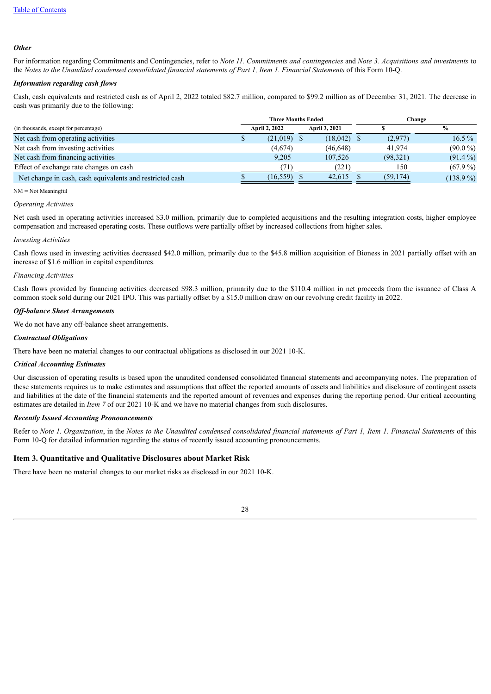#### *Other*

For information regarding Commitments and Contingencies, refer to *Note 11. Commitments and contingencies* and *Note 3. Acquisitions and investments* to the Notes to the Unaudited condensed consolidated financial statements of Part 1. Item 1. Financial Statements of this Form 10-O.

#### *Information regarding cash flows*

Cash, cash equivalents and restricted cash as of April 2, 2022 totaled \$82.7 million, compared to \$99.2 million as of December 31, 2021. The decrease in cash was primarily due to the following:

|                                                          |  | <b>Three Months Ended</b> |                      | Change |           |               |  |
|----------------------------------------------------------|--|---------------------------|----------------------|--------|-----------|---------------|--|
| (in thousands, except for percentage)                    |  | <b>April 2, 2022</b>      | <b>April 3, 2021</b> |        |           | $\frac{0}{0}$ |  |
| Net cash from operating activities                       |  | $(21,019)$ \$             | $(18,042)$ \$        |        | (2,977)   | $16.5\%$      |  |
| Net cash from investing activities                       |  | (4,674)                   | (46, 648)            |        | 41.974    | $(90.0\%)$    |  |
| Net cash from financing activities                       |  | 9.205                     | 107,526              |        | (98, 321) | $(91.4\%)$    |  |
| Effect of exchange rate changes on cash                  |  | 71)                       | (221)                |        | 150       | $(67.9\%)$    |  |
| Net change in cash, cash equivalents and restricted cash |  | (16, 559)                 | 42,615               |        | (59, 174) | $(138.9\%)$   |  |

#### NM = Not Meaningful

#### *Operating Activities*

Net cash used in operating activities increased \$3.0 million, primarily due to completed acquisitions and the resulting integration costs, higher employee compensation and increased operating costs. These outflows were partially offset by increased collections from higher sales.

#### *Investing Activities*

Cash flows used in investing activities decreased \$42.0 million, primarily due to the \$45.8 million acquisition of Bioness in 2021 partially offset with an increase of \$1.6 million in capital expenditures.

#### *Financing Activities*

Cash flows provided by financing activities decreased \$98.3 million, primarily due to the \$110.4 million in net proceeds from the issuance of Class A common stock sold during our 2021 IPO. This was partially offset by a \$15.0 million draw on our revolving credit facility in 2022.

#### *Of -balance Sheet Arrangements*

We do not have any off-balance sheet arrangements.

#### *Contractual Obligations*

There have been no material changes to our contractual obligations as disclosed in our 2021 10-K.

#### *Critical Accounting Estimates*

Our discussion of operating results is based upon the unaudited condensed consolidated financial statements and accompanying notes. The preparation of these statements requires us to make estimates and assumptions that affect the reported amounts of assets and liabilities and disclosure of contingent assets and liabilities at the date of the financial statements and the reported amount of revenues and expenses during the reporting period. Our critical accounting estimates are detailed in *Item 7* of our 2021 10-K and we have no material changes from such disclosures.

#### *Recently Issued Accounting Pronouncements*

Refer to Note 1. Organization, in the Notes to the Unaudited condensed consolidated financial statements of Part 1, Item 1. Financial Statements of this Form 10-Q for detailed information regarding the status of recently issued accounting pronouncements.

## <span id="page-31-0"></span>**Item 3. Quantitative and Qualitative Disclosures about Market Risk**

<span id="page-31-1"></span>There have been no material changes to our market risks as disclosed in our 2021 10-K.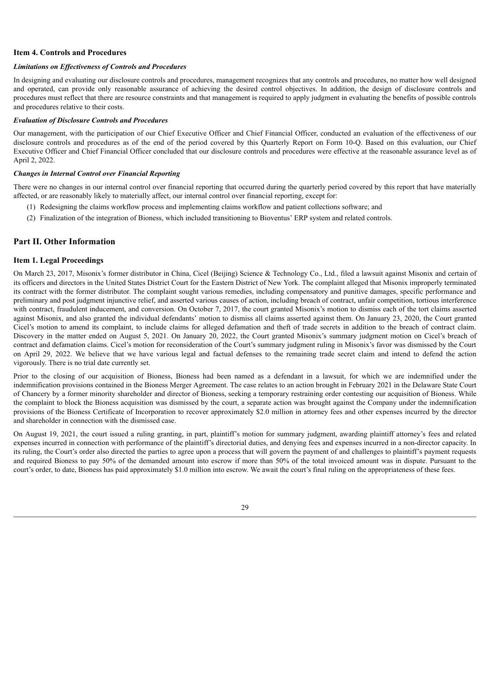#### **Item 4. Controls and Procedures**

#### *Limitations on Ef ectiveness of Controls and Procedures*

In designing and evaluating our disclosure controls and procedures, management recognizes that any controls and procedures, no matter how well designed and operated, can provide only reasonable assurance of achieving the desired control objectives. In addition, the design of disclosure controls and procedures must reflect that there are resource constraints and that management is required to apply judgment in evaluating the benefits of possible controls and procedures relative to their costs.

#### *Evaluation of Disclosure Controls and Procedures*

Our management, with the participation of our Chief Executive Officer and Chief Financial Officer, conducted an evaluation of the effectiveness of our disclosure controls and procedures as of the end of the period covered by this Quarterly Report on Form 10-Q. Based on this evaluation, our Chief Executive Officer and Chief Financial Officer concluded that our disclosure controls and procedures were effective at the reasonable assurance level as of April 2, 2022.

#### *Changes in Internal Control over Financial Reporting*

There were no changes in our internal control over financial reporting that occurred during the quarterly period covered by this report that have materially affected, or are reasonably likely to materially affect, our internal control over financial reporting, except for:

- (1) Redesigning the claims workflow process and implementing claims workflow and patient collections software; and
- (2) Finalization of the integration of Bioness, which included transitioning to Bioventus' ERP system and related controls.

# <span id="page-32-0"></span>**Part II. Other Information**

#### <span id="page-32-1"></span>**Item 1. Legal Proceedings**

On March 23, 2017, Misonix's former distributor in China, Cicel (Beijing) Science & Technology Co., Ltd., filed a lawsuit against Misonix and certain of its officers and directors in the United States District Court for the Eastern District of New York. The complaint alleged that Misonix improperly terminated its contract with the former distributor. The complaint sought various remedies, including compensatory and punitive damages, specific performance and preliminary and post judgment injunctive relief, and asserted various causes of action, including breach of contract, unfair competition, tortious interference with contract, fraudulent inducement, and conversion. On October 7, 2017, the court granted Misonix's motion to dismiss each of the tort claims asserted against Misonix, and also granted the individual defendants' motion to dismiss all claims asserted against them. On January 23, 2020, the Court granted Cicel's motion to amend its complaint, to include claims for alleged defamation and theft of trade secrets in addition to the breach of contract claim. Discovery in the matter ended on August 5, 2021. On January 20, 2022, the Court granted Misonix's summary judgment motion on Cicel's breach of contract and defamation claims. Cicel's motion for reconsideration of the Court's summary judgment ruling in Misonix's favor was dismissed by the Court on April 29, 2022. We believe that we have various legal and factual defenses to the remaining trade secret claim and intend to defend the action vigorously. There is no trial date currently set.

Prior to the closing of our acquisition of Bioness, Bioness had been named as a defendant in a lawsuit, for which we are indemnified under the indemnification provisions contained in the Bioness Merger Agreement. The case relates to an action brought in February 2021 in the Delaware State Court of Chancery by a former minority shareholder and director of Bioness, seeking a temporary restraining order contesting our acquisition of Bioness. While the complaint to block the Bioness acquisition was dismissed by the court, a separate action was brought against the Company under the indemnification provisions of the Bioness Certificate of Incorporation to recover approximately \$2.0 million in attorney fees and other expenses incurred by the director and shareholder in connection with the dismissed case.

On August 19, 2021, the court issued a ruling granting, in part, plaintiff's motion for summary judgment, awarding plaintiff attorney's fees and related expenses incurred in connection with performance of the plaintiff's directorial duties, and denying fees and expenses incurred in a non-director capacity. In its ruling, the Court's order also directed the parties to agree upon a process that will govern the payment of and challenges to plaintiff's payment requests and required Bioness to pay 50% of the demanded amount into escrow if more than 50% of the total invoiced amount was in dispute. Pursuant to the court's order, to date, Bioness has paid approximately \$1.0 million into escrow. We await the court's final ruling on the appropriateness of these fees.

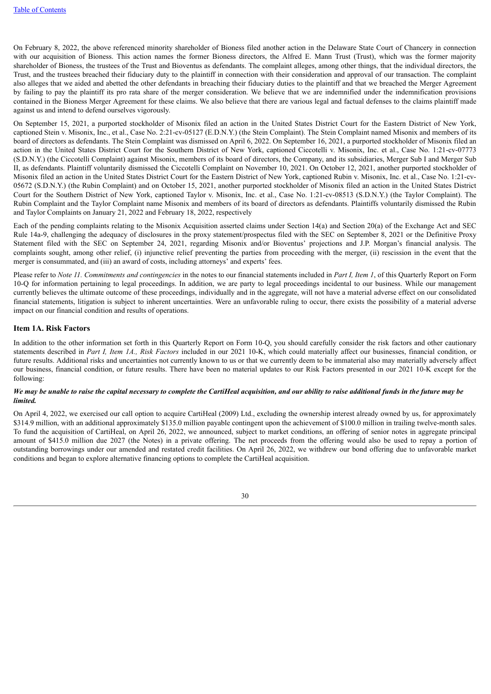On February 8, 2022, the above referenced minority shareholder of Bioness filed another action in the Delaware State Court of Chancery in connection with our acquisition of Bioness. This action names the former Bioness directors, the Alfred E. Mann Trust (Trust), which was the former majority shareholder of Bioness, the trustees of the Trust and Bioventus as defendants. The complaint alleges, among other things, that the individual directors, the Trust, and the trustees breached their fiduciary duty to the plaintiff in connection with their consideration and approval of our transaction. The complaint also alleges that we aided and abetted the other defendants in breaching their fiduciary duties to the plaintiff and that we breached the Merger Agreement by failing to pay the plaintiff its pro rata share of the merger consideration. We believe that we are indemnified under the indemnification provisions contained in the Bioness Merger Agreement for these claims. We also believe that there are various legal and factual defenses to the claims plaintiff made against us and intend to defend ourselves vigorously.

On September 15, 2021, a purported stockholder of Misonix filed an action in the United States District Court for the Eastern District of New York, captioned Stein v. Misonix, Inc., et al., Case No. 2:21-cv-05127 (E.D.N.Y.) (the Stein Complaint). The Stein Complaint named Misonix and members of its board of directors as defendants. The Stein Complaint was dismissed on April 6, 2022. On September 16, 2021, a purported stockholder of Misonix filed an action in the United States District Court for the Southern District of New York, captioned Ciccotelli v. Misonix, Inc. et al., Case No. 1:21-cv-07773 (S.D.N.Y.) (the Ciccotelli Complaint) against Misonix, members of its board of directors, the Company, and its subsidiaries, Merger Sub I and Merger Sub II, as defendants. Plaintiff voluntarily dismissed the Ciccotelli Complaint on November 10, 2021. On October 12, 2021, another purported stockholder of Misonix filed an action in the United States District Court for the Eastern District of New York, captioned Rubin v. Misonix, Inc. et al., Case No. 1:21-cv-05672 (S.D.N.Y.) (the Rubin Complaint) and on October 15, 2021, another purported stockholder of Misonix filed an action in the United States District Court for the Southern District of New York, captioned Taylor v. Misonix, Inc. et al., Case No. 1:21-cv-08513 (S.D.N.Y.) (the Taylor Complaint). The Rubin Complaint and the Taylor Complaint name Misonix and members of its board of directors as defendants. Plaintiffs voluntarily dismissed the Rubin and Taylor Complaints on January 21, 2022 and February 18, 2022, respectively

Each of the pending complaints relating to the Misonix Acquisition asserted claims under Section 14(a) and Section 20(a) of the Exchange Act and SEC Rule 14a-9, challenging the adequacy of disclosures in the proxy statement/prospectus filed with the SEC on September 8, 2021 or the Definitive Proxy Statement filed with the SEC on September 24, 2021, regarding Misonix and/or Bioventus' projections and J.P. Morgan's financial analysis. The complaints sought, among other relief, (i) injunctive relief preventing the parties from proceeding with the merger, (ii) rescission in the event that the merger is consummated, and (iii) an award of costs, including attorneys' and experts' fees.

Please refer to *Note 11. Commitments and contingencies* in the notes to our financial statements included in *Part I, Item 1*, of this Quarterly Report on Form 10-Q for information pertaining to legal proceedings. In addition, we are party to legal proceedings incidental to our business. While our management currently believes the ultimate outcome of these proceedings, individually and in the aggregate, will not have a material adverse effect on our consolidated financial statements, litigation is subject to inherent uncertainties. Were an unfavorable ruling to occur, there exists the possibility of a material adverse impact on our financial condition and results of operations.

#### <span id="page-33-0"></span>**Item 1A. Risk Factors**

In addition to the other information set forth in this Quarterly Report on Form 10-Q, you should carefully consider the risk factors and other cautionary statements described in *Part I, Item 1A., Risk Factors* included in our 2021 10-K, which could materially affect our businesses, financial condition, or future results. Additional risks and uncertainties not currently known to us or that we currently deem to be immaterial also may materially adversely affect our business, financial condition, or future results. There have been no material updates to our Risk Factors presented in our 2021 10-K except for the following:

#### We may be unable to raise the capital necessary to complete the CartiHeal acquisition, and our ability to raise additional funds in the future may be *limited.*

On April 4, 2022, we exercised our call option to acquire CartiHeal (2009) Ltd., excluding the ownership interest already owned by us, for approximately \$314.9 million, with an additional approximately \$135.0 million payable contingent upon the achievement of \$100.0 million in trailing twelve-month sales. To fund the acquisition of CartiHeal, on April 26, 2022, we announced, subject to market conditions, an offering of senior notes in aggregate principal amount of \$415.0 million due 2027 (the Notes) in a private offering. The net proceeds from the offering would also be used to repay a portion of outstanding borrowings under our amended and restated credit facilities. On April 26, 2022, we withdrew our bond offering due to unfavorable market conditions and began to explore alternative financing options to complete the CartiHeal acquisition.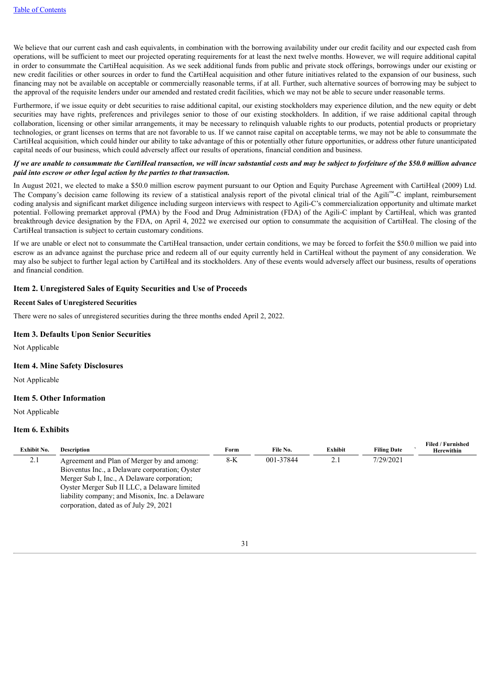We believe that our current cash and cash equivalents, in combination with the borrowing availability under our credit facility and our expected cash from operations, will be sufficient to meet our projected operating requirements for at least the next twelve months. However, we will require additional capital in order to consummate the CartiHeal acquisition. As we seek additional funds from public and private stock offerings, borrowings under our existing or new credit facilities or other sources in order to fund the CartiHeal acquisition and other future initiatives related to the expansion of our business, such financing may not be available on acceptable or commercially reasonable terms, if at all. Further, such alternative sources of borrowing may be subject to the approval of the requisite lenders under our amended and restated credit facilities, which we may not be able to secure under reasonable terms.

Furthermore, if we issue equity or debt securities to raise additional capital, our existing stockholders may experience dilution, and the new equity or debt securities may have rights, preferences and privileges senior to those of our existing stockholders. In addition, if we raise additional capital through collaboration, licensing or other similar arrangements, it may be necessary to relinquish valuable rights to our products, potential products or proprietary technologies, or grant licenses on terms that are not favorable to us. If we cannot raise capital on acceptable terms, we may not be able to consummate the CartiHeal acquisition, which could hinder our ability to take advantage of this or potentially other future opportunities, or address other future unanticipated capital needs of our business, which could adversely affect our results of operations, financial condition and business.

#### If we are unable to consummate the CartiHeal transaction, we will incur substantial costs and may be subject to forfeiture of the \$50.0 million advance *paid into escrow or other legal action by the parties to that transaction.*

In August 2021, we elected to make a \$50.0 million escrow payment pursuant to our Option and Equity Purchase Agreement with CartiHeal (2009) Ltd. The Company's decision came following its review of a statistical analysis report of the pivotal clinical trial of the Agili™-C implant, reimbursement coding analysis and significant market diligence including surgeon interviews with respect to Agili-C's commercialization opportunity and ultimate market potential. Following premarket approval (PMA) by the Food and Drug Administration (FDA) of the Agili-C implant by CartiHeal, which was granted breakthrough device designation by the FDA, on April 4, 2022 we exercised our option to consummate the acquisition of CartiHeal. The closing of the CartiHeal transaction is subject to certain customary conditions.

If we are unable or elect not to consummate the CartiHeal transaction, under certain conditions, we may be forced to forfeit the \$50.0 million we paid into escrow as an advance against the purchase price and redeem all of our equity currently held in CartiHeal without the payment of any consideration. We may also be subject to further legal action by CartiHeal and its stockholders. Any of these events would adversely affect our business, results of operations and financial condition.

#### <span id="page-34-0"></span>**Item 2. Unregistered Sales of Equity Securities and Use of Proceeds**

#### **Recent Sales of Unregistered Securities**

There were no sales of unregistered securities during the three months ended April 2, 2022.

#### <span id="page-34-1"></span>**Item 3. Defaults Upon Senior Securities**

Not Applicable

#### <span id="page-34-2"></span>**Item 4. Mine Safety Disclosures**

Not Applicable

### <span id="page-34-3"></span>**Item 5. Other Information**

Not Applicable

#### <span id="page-34-4"></span>**Item 6. Exhibits**

| <b>Exhibit No.</b> | <b>Description</b>                                                                                                                          | Form  | File No.  | Exhibit | <b>Filing Date</b> | Filed / Furnished<br>Herewithin |
|--------------------|---------------------------------------------------------------------------------------------------------------------------------------------|-------|-----------|---------|--------------------|---------------------------------|
| 2.1                | Agreement and Plan of Merger by and among:<br>Bioventus Inc., a Delaware corporation; Oyster<br>Merger Sub I, Inc., A Delaware corporation; | $8-K$ | 001-37844 | 2.1     | 7/29/2021          |                                 |
|                    | Oyster Merger Sub II LLC, a Delaware limited<br>liability company; and Misonix, Inc. a Delaware<br>corporation, dated as of July 29, 2021   |       |           |         |                    |                                 |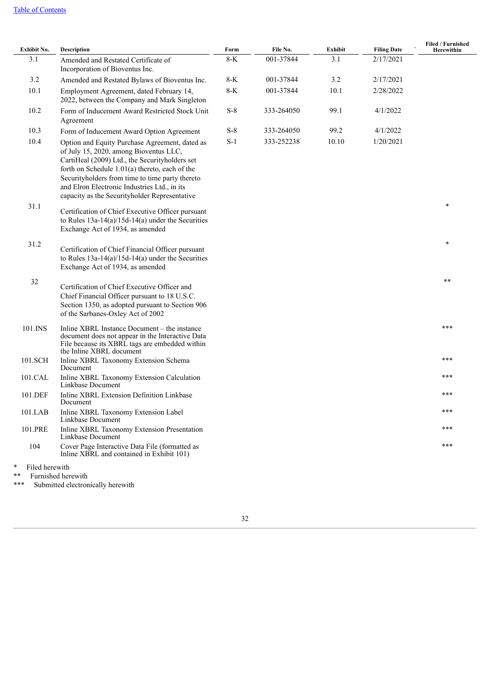# Table of [Contents](#page-0-0)

j.

| Exhibit No.         | Description                                                                                                                                                                                                                                                                                                                                      | Form  | File No.   | <b>Exhibit</b> | <b>Filing Date</b> | <b>Filed / Furnished</b><br>Herewithin |
|---------------------|--------------------------------------------------------------------------------------------------------------------------------------------------------------------------------------------------------------------------------------------------------------------------------------------------------------------------------------------------|-------|------------|----------------|--------------------|----------------------------------------|
| 3.1                 | Amended and Restated Certificate of<br>Incorporation of Bioventus Inc.                                                                                                                                                                                                                                                                           | $8-K$ | 001-37844  | 3.1            | 2/17/2021          |                                        |
| 3.2                 | Amended and Restated Bylaws of Bioventus Inc.                                                                                                                                                                                                                                                                                                    | $8-K$ | 001-37844  | 3.2            | 2/17/2021          |                                        |
| 10.1                | Employment Agreement, dated February 14,<br>2022, between the Company and Mark Singleton                                                                                                                                                                                                                                                         | $8-K$ | 001-37844  | 10.1           | 2/28/2022          |                                        |
| 10.2                | Form of Inducement Award Restricted Stock Unit<br>Agreement                                                                                                                                                                                                                                                                                      | $S-8$ | 333-264050 | 99.1           | 4/1/2022           |                                        |
| 10.3                | Form of Inducement Award Option Agreement                                                                                                                                                                                                                                                                                                        | $S-8$ | 333-264050 | 99.2           | 4/1/2022           |                                        |
| 10.4                | Option and Equity Purchase Agreement, dated as<br>of July 15, 2020, among Bioventus LLC,<br>CartiHeal (2009) Ltd., the Securityholders set<br>forth on Schedule 1.01(a) thereto, each of the<br>Securityholders from time to time party thereto<br>and Elron Electronic Industries Ltd., in its<br>capacity as the Securityholder Representative | $S-1$ | 333-252238 | 10.10          | 1/20/2021          |                                        |
| 31.1                | Certification of Chief Executive Officer pursuant<br>to Rules $13a-14(a)/15d-14(a)$ under the Securities<br>Exchange Act of 1934, as amended                                                                                                                                                                                                     |       |            |                |                    | $\ast$                                 |
| 31.2                | Certification of Chief Financial Officer pursuant<br>to Rules $13a-14(a)/15d-14(a)$ under the Securities<br>Exchange Act of 1934, as amended                                                                                                                                                                                                     |       |            |                |                    | $\ast$                                 |
| 32                  | Certification of Chief Executive Officer and<br>Chief Financial Officer pursuant to 18 U.S.C.<br>Section 1350, as adopted pursuant to Section 906<br>of the Sarbanes-Oxley Act of 2002                                                                                                                                                           |       |            |                |                    | $* *$                                  |
| 101.INS             | Inline XBRL Instance Document – the instance<br>document does not appear in the Interactive Data<br>File because its XBRL tags are embedded within<br>the Inline XBRL document                                                                                                                                                                   |       |            |                |                    | ***                                    |
| 101.SCH             | Inline XBRL Taxonomy Extension Schema<br>Document                                                                                                                                                                                                                                                                                                |       |            |                |                    | ***                                    |
| 101.CAL             | Inline XBRL Taxonomy Extension Calculation<br>Linkbase Document                                                                                                                                                                                                                                                                                  |       |            |                |                    | ***                                    |
| 101.DEF             | Inline XBRL Extension Definition Linkbase<br>Document                                                                                                                                                                                                                                                                                            |       |            |                |                    | ***                                    |
| $101$ .LAB          | Inline XBRL Taxonomy Extension Label<br>Linkbase Document                                                                                                                                                                                                                                                                                        |       |            |                |                    | ***                                    |
| 101.PRE             | Inline XBRL Taxonomy Extension Presentation<br>Linkbase Document                                                                                                                                                                                                                                                                                 |       |            |                |                    | ***                                    |
| 104                 | Cover Page Interactive Data File (formatted as<br>Inline XBRL and contained in Exhibit 101)                                                                                                                                                                                                                                                      |       |            |                |                    | ***                                    |
| Filed herewith<br>* |                                                                                                                                                                                                                                                                                                                                                  |       |            |                |                    |                                        |

\*\* Furnished herewith

<span id="page-35-0"></span>\*\*\* Submitted electronically herewith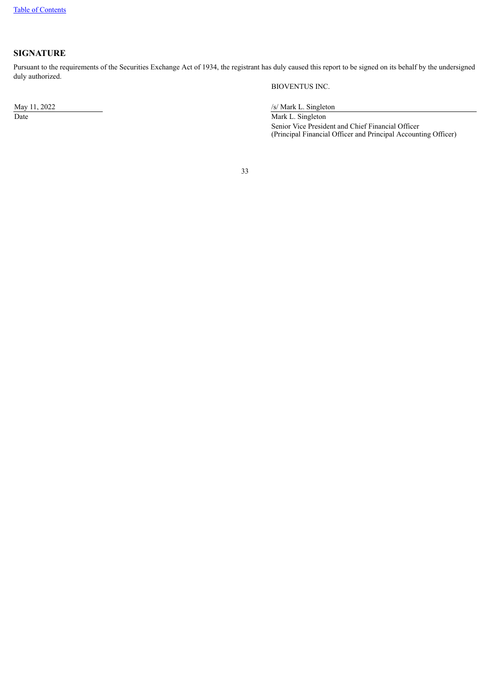# **SIGNATURE**

Pursuant to the requirements of the Securities Exchange Act of 1934, the registrant has duly caused this report to be signed on its behalf by the undersigned duly authorized.

BIOVENTUS INC.

May 11, 2022 /s/ Mark L. Singleton

Date Mark L. Singleton Senior Vice President and Chief Financial Officer (Principal Financial Officer and Principal Accounting Officer)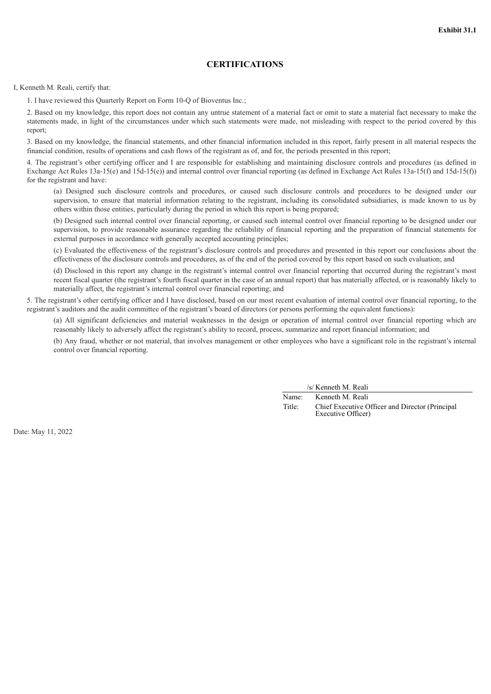# **CERTIFICATIONS**

<span id="page-37-0"></span>I, Kenneth M. Reali, certify that:

1. I have reviewed this Quarterly Report on Form 10-Q of Bioventus Inc.;

2. Based on my knowledge, this report does not contain any untrue statement of a material fact or omit to state a material fact necessary to make the statements made, in light of the circumstances under which such statements were made, not misleading with respect to the period covered by this report;

3. Based on my knowledge, the financial statements, and other financial information included in this report, fairly present in all material respects the financial condition, results of operations and cash flows of the registrant as of, and for, the periods presented in this report;

4. The registrant's other certifying officer and I are responsible for establishing and maintaining disclosure controls and procedures (as defined in Exchange Act Rules 13a-15(e) and 15d-15(e)) and internal control over financial reporting (as defined in Exchange Act Rules 13a-15(f) and 15d-15(f)) for the registrant and have:

(a) Designed such disclosure controls and procedures, or caused such disclosure controls and procedures to be designed under our supervision, to ensure that material information relating to the registrant, including its consolidated subsidiaries, is made known to us by others within those entities, particularly during the period in which this report is being prepared;

(b) Designed such internal control over financial reporting, or caused such internal control over financial reporting to be designed under our supervision, to provide reasonable assurance regarding the reliability of financial reporting and the preparation of financial statements for external purposes in accordance with generally accepted accounting principles;

(c) Evaluated the effectiveness of the registrant's disclosure controls and procedures and presented in this report our conclusions about the effectiveness of the disclosure controls and procedures, as of the end of the period covered by this report based on such evaluation; and

(d) Disclosed in this report any change in the registrant's internal control over financial reporting that occurred during the registrant's most recent fiscal quarter (the registrant's fourth fiscal quarter in the case of an annual report) that has materially affected, or is reasonably likely to materially affect, the registrant's internal control over financial reporting; and

5. The registrant's other certifying officer and I have disclosed, based on our most recent evaluation of internal control over financial reporting, to the registrant's auditors and the audit committee of the registrant's board of directors (or persons performing the equivalent functions):

(a) All significant deficiencies and material weaknesses in the design or operation of internal control over financial reporting which are reasonably likely to adversely affect the registrant's ability to record, process, summarize and report financial information; and

(b) Any fraud, whether or not material, that involves management or other employees who have a significant role in the registrant's internal control over financial reporting.

/s/ Kenneth M. Reali

Name: Kenneth M. Reali Title: Chief Executive Officer and Director (Principal Executive Officer)

Date: May 11, 2022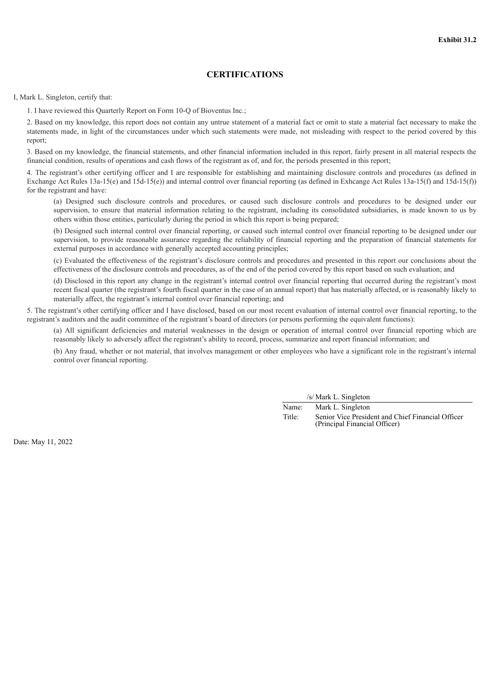# **CERTIFICATIONS**

<span id="page-38-0"></span>I, Mark L. Singleton, certify that:

1. I have reviewed this Quarterly Report on Form 10-Q of Bioventus Inc.;

2. Based on my knowledge, this report does not contain any untrue statement of a material fact or omit to state a material fact necessary to make the statements made, in light of the circumstances under which such statements were made, not misleading with respect to the period covered by this report;

3. Based on my knowledge, the financial statements, and other financial information included in this report, fairly present in all material respects the financial condition, results of operations and cash flows of the registrant as of, and for, the periods presented in this report;

4. The registrant's other certifying officer and I are responsible for establishing and maintaining disclosure controls and procedures (as defined in Exchange Act Rules 13a-15(e) and 15d-15(e)) and internal control over financial reporting (as defined in Exhcange Act Rules 13a-15(f) and 15d-15(f)) for the registrant and have:

(a) Designed such disclosure controls and procedures, or caused such disclosure controls and procedures to be designed under our supervision, to ensure that material information relating to the registrant, including its consolidated subsidiaries, is made known to us by others within those entities, particularly during the period in which this report is being prepared;

(b) Designed such internal control over financial reporting, or caused such internal control over financial reporting to be designed under our supervision, to provide reasonable assurance regarding the reliability of financial reporting and the preparation of financial statements for external purposes in accordance with generally accepted accounting principles;

(c) Evaluated the effectiveness of the registrant's disclosure controls and procedures and presented in this report our conclusions about the effectiveness of the disclosure controls and procedures, as of the end of the period covered by this report based on such evaluation; and

(d) Disclosed in this report any change in the registrant's internal control over financial reporting that occurred during the registrant's most recent fiscal quarter (the registrant's fourth fiscal quarter in the case of an annual report) that has materially affected, or is reasonably likely to materially affect, the registrant's internal control over financial reporting; and

5. The registrant's other certifying officer and I have disclosed, based on our most recent evaluation of internal control over financial reporting, to the registrant's auditors and the audit committee of the registrant's board of directors (or persons performing the equivalent functions):

(a) All significant deficiencies and material weaknesses in the design or operation of internal control over financial reporting which are reasonably likely to adversely affect the registrant's ability to record, process, summarize and report financial information; and

(b) Any fraud, whether or not material, that involves management or other employees who have a significant role in the registrant's internal control over financial reporting.

/s/ Mark L. Singleton

Name: Mark L. Singleton Title: Senior Vice President and Chief Financial Officer (Principal Financial Officer)

Date: May 11, 2022